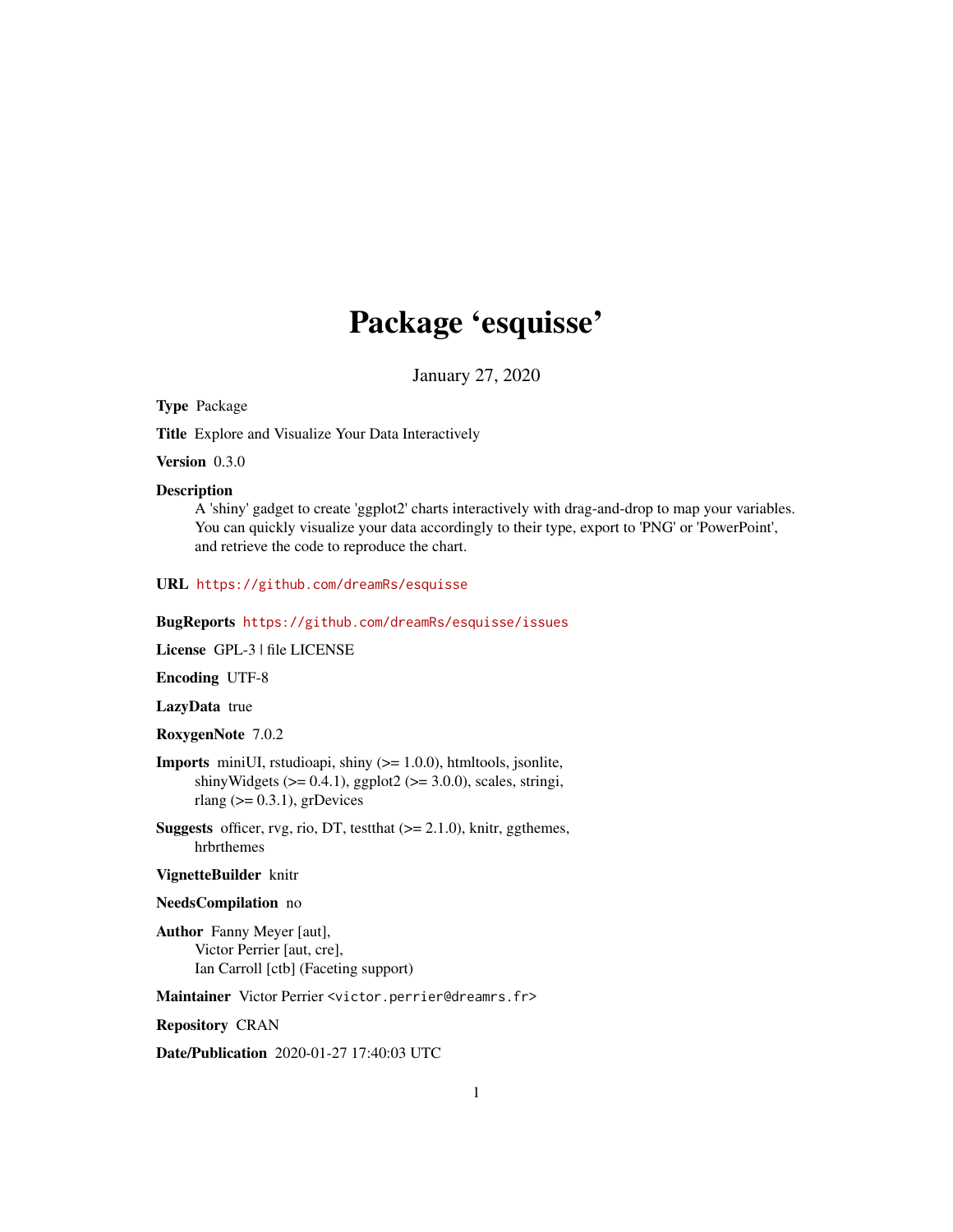# Package 'esquisse'

January 27, 2020

<span id="page-0-0"></span>Type Package

Title Explore and Visualize Your Data Interactively

Version 0.3.0

#### Description

A 'shiny' gadget to create 'ggplot2' charts interactively with drag-and-drop to map your variables. You can quickly visualize your data accordingly to their type, export to 'PNG' or 'PowerPoint', and retrieve the code to reproduce the chart.

#### URL <https://github.com/dreamRs/esquisse>

BugReports <https://github.com/dreamRs/esquisse/issues>

License GPL-3 | file LICENSE

Encoding UTF-8

LazyData true

RoxygenNote 7.0.2

- **Imports** miniUI, rstudioapi, shiny  $(>= 1.0.0)$ , htmltools, jsonlite, shinyWidgets ( $> = 0.4.1$ ), ggplot2 ( $> = 3.0.0$ ), scales, stringi, rlang ( $> = 0.3.1$ ), grDevices
- **Suggests** officer, rvg, rio, DT, test that  $(>= 2.1.0)$ , knitr, gg themes, hrbrthemes

#### VignetteBuilder knitr

#### NeedsCompilation no

Author Fanny Meyer [aut], Victor Perrier [aut, cre], Ian Carroll [ctb] (Faceting support)

Maintainer Victor Perrier <victor.perrier@dreamrs.fr>

Repository CRAN

Date/Publication 2020-01-27 17:40:03 UTC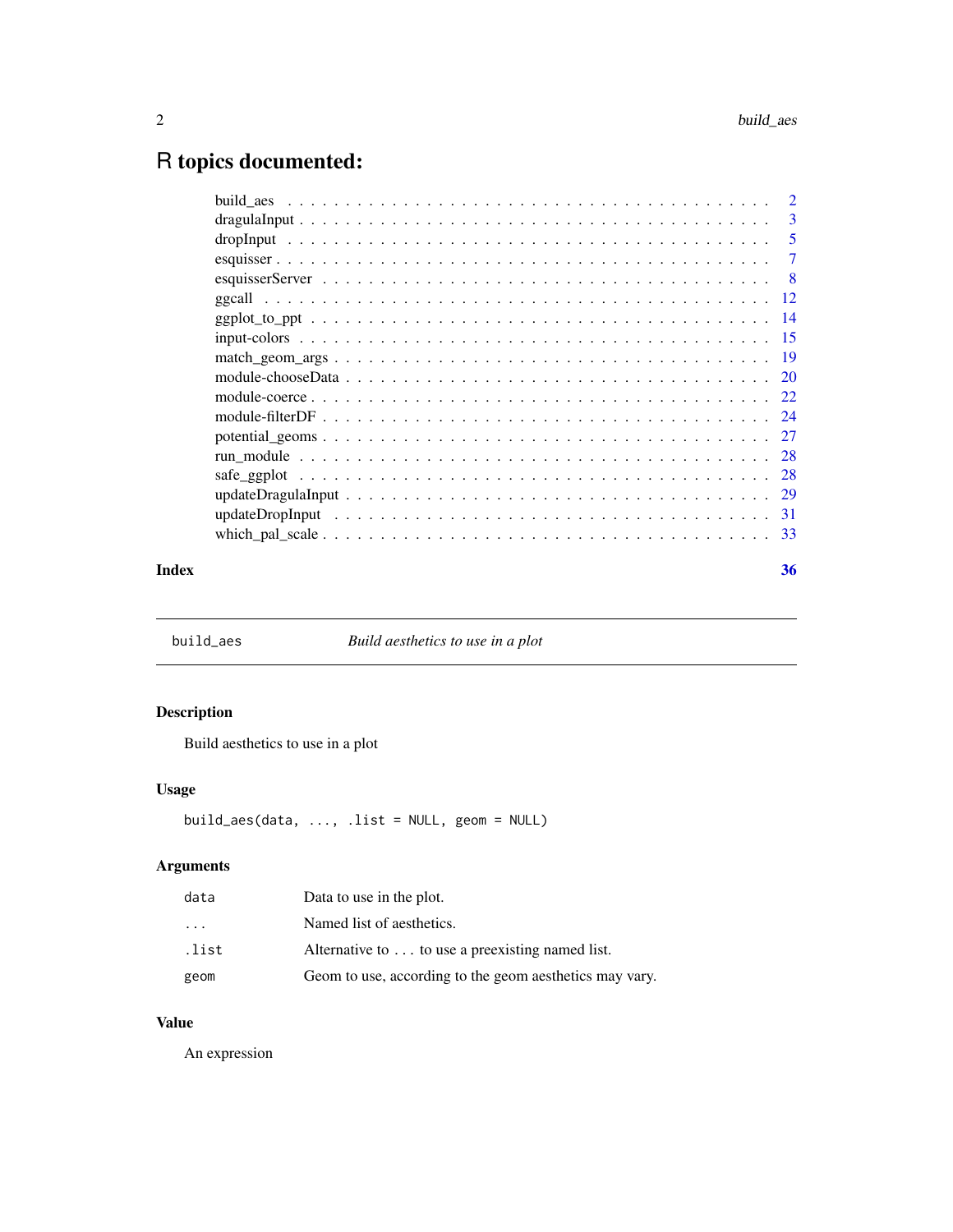## <span id="page-1-0"></span>R topics documented:

| Index | 36 |
|-------|----|

build\_aes *Build aesthetics to use in a plot*

#### Description

Build aesthetics to use in a plot

#### Usage

```
build_aes(data, ..., .list = NULL, geom = NULL)
```
#### Arguments

| data                    | Data to use in the plot.                                |
|-------------------------|---------------------------------------------------------|
| $\cdot$ $\cdot$ $\cdot$ | Named list of aesthetics.                               |
| .list                   | Alternative to to use a preexisting named list.         |
| geom                    | Geom to use, according to the geom aesthetics may vary. |

#### Value

An expression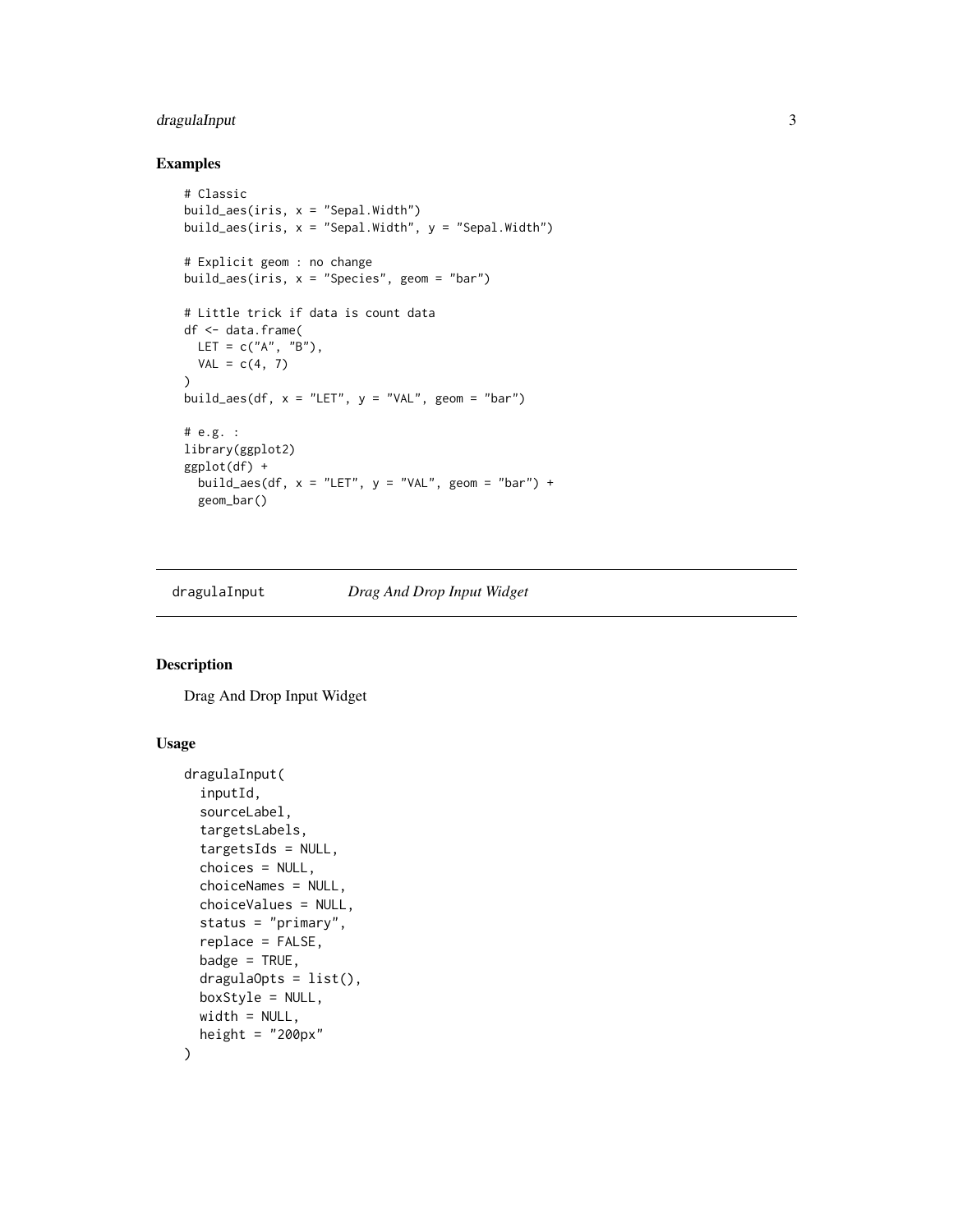#### <span id="page-2-0"></span>dragulaInput 3

#### Examples

```
# Classic
build_aes(iris, x = "Sepal.Width")
build_aes(iris, x = "Sepal.Width", y = "Sepal.Width")
# Explicit geom : no change
build_aes(iris, x = "Species", geom = "bar")
# Little trick if data is count data
df <- data.frame(
 LET = c("A", "B"),
 VAL = c(4, 7)\lambdabuild_aes(df, x = "LET", y = "VAL", geom = "bar")
# e.g. :
library(ggplot2)
ggplot(df) +
 build_aes(df, x = "LET", y = "VAL", geom = "bar") +
  geom_bar()
```
dragulaInput *Drag And Drop Input Widget*

#### Description

Drag And Drop Input Widget

#### Usage

```
dragulaInput(
  inputId,
  sourceLabel,
  targetsLabels,
  targetsIds = NULL,
  choices = NULL,
  choiceNames = NULL,
  choiceValues = NULL,
  status = "primary",
  replace = FALSE,
 badge = TRUE,
 dragulaOpts = list(),
 boxStyle = NULL,
 width = NULL,
 height = "200px")
```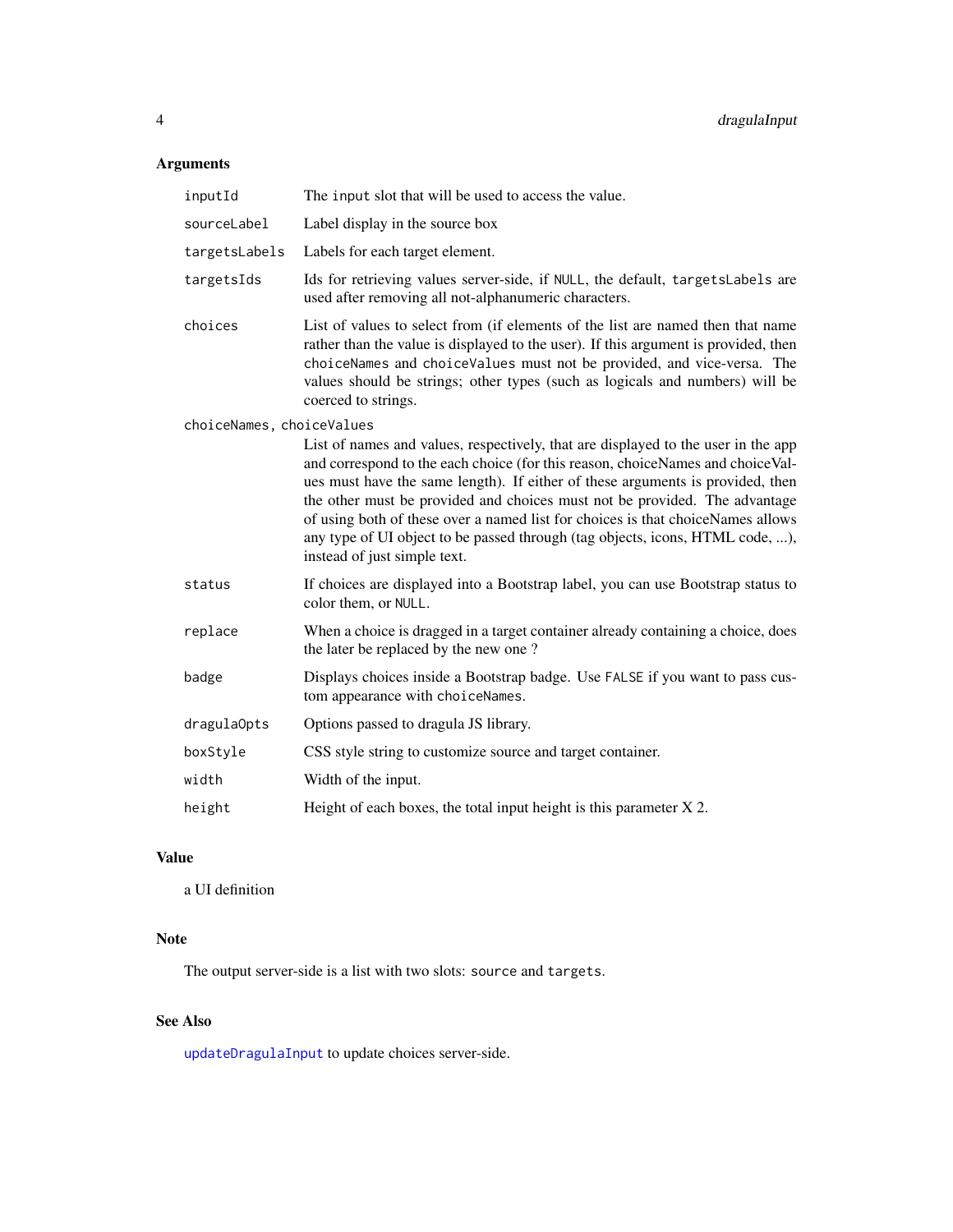#### <span id="page-3-0"></span>Arguments

| inputId                   | The input slot that will be used to access the value.                                                                                                                                                                                                                                                                                                                                                                                                                                                                                   |
|---------------------------|-----------------------------------------------------------------------------------------------------------------------------------------------------------------------------------------------------------------------------------------------------------------------------------------------------------------------------------------------------------------------------------------------------------------------------------------------------------------------------------------------------------------------------------------|
| sourceLabel               | Label display in the source box                                                                                                                                                                                                                                                                                                                                                                                                                                                                                                         |
| targetsLabels             | Labels for each target element.                                                                                                                                                                                                                                                                                                                                                                                                                                                                                                         |
| targetsIds                | Ids for retrieving values server-side, if NULL, the default, targetsLabels are<br>used after removing all not-alphanumeric characters.                                                                                                                                                                                                                                                                                                                                                                                                  |
| choices                   | List of values to select from (if elements of the list are named then that name<br>rather than the value is displayed to the user). If this argument is provided, then<br>choiceNames and choiceValues must not be provided, and vice-versa. The<br>values should be strings; other types (such as logicals and numbers) will be<br>coerced to strings.                                                                                                                                                                                 |
| choiceNames, choiceValues |                                                                                                                                                                                                                                                                                                                                                                                                                                                                                                                                         |
|                           | List of names and values, respectively, that are displayed to the user in the app<br>and correspond to the each choice (for this reason, choiceNames and choiceVal-<br>ues must have the same length). If either of these arguments is provided, then<br>the other must be provided and choices must not be provided. The advantage<br>of using both of these over a named list for choices is that choiceNames allows<br>any type of UI object to be passed through (tag objects, icons, HTML code, ),<br>instead of just simple text. |
| status                    | If choices are displayed into a Bootstrap label, you can use Bootstrap status to<br>color them, or NULL.                                                                                                                                                                                                                                                                                                                                                                                                                                |
| replace                   | When a choice is dragged in a target container already containing a choice, does<br>the later be replaced by the new one?                                                                                                                                                                                                                                                                                                                                                                                                               |
| badge                     | Displays choices inside a Bootstrap badge. Use FALSE if you want to pass cus-<br>tom appearance with choiceNames.                                                                                                                                                                                                                                                                                                                                                                                                                       |
| dragulaOpts               | Options passed to dragula JS library.                                                                                                                                                                                                                                                                                                                                                                                                                                                                                                   |
| boxStyle                  | CSS style string to customize source and target container.                                                                                                                                                                                                                                                                                                                                                                                                                                                                              |
| width                     | Width of the input.                                                                                                                                                                                                                                                                                                                                                                                                                                                                                                                     |
| height                    | Height of each boxes, the total input height is this parameter $X$ 2.                                                                                                                                                                                                                                                                                                                                                                                                                                                                   |
|                           |                                                                                                                                                                                                                                                                                                                                                                                                                                                                                                                                         |

### Value

a UI definition

#### Note

The output server-side is a list with two slots: source and targets.

#### See Also

[updateDragulaInput](#page-28-1) to update choices server-side.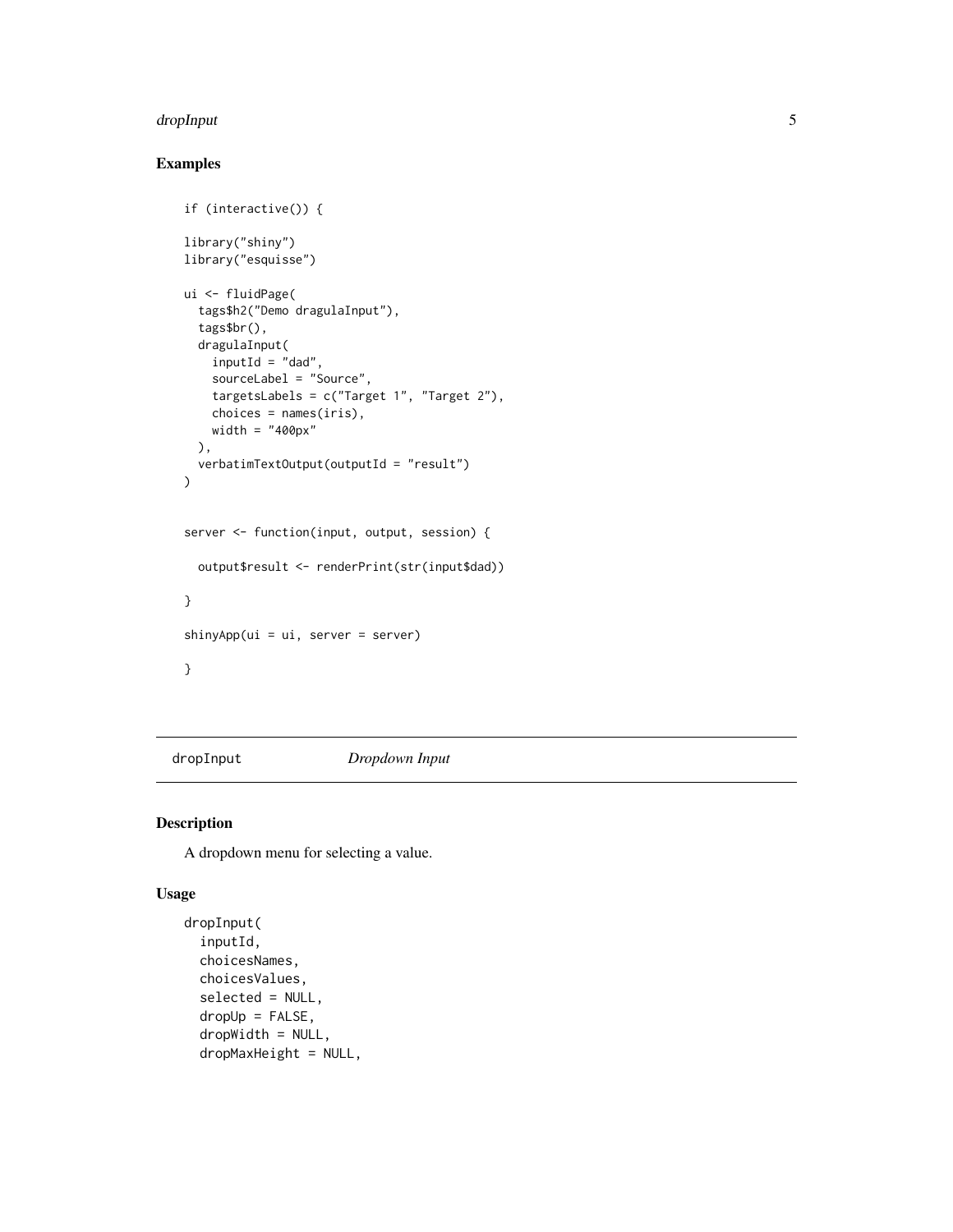#### <span id="page-4-0"></span>dropInput 55 to 55 and 55 and 55 and 55 and 55 and 55 and 55 and 55 and 55 and 55 and 55 and 55 and 55 and 55 and 55 and 55 and 55 and 55 and 55 and 55 and 55 and 55 and 55 and 55 and 55 and 55 and 55 and 55 and 55 and 55

#### Examples

```
if (interactive()) {
library("shiny")
library("esquisse")
ui <- fluidPage(
  tags$h2("Demo dragulaInput"),
  tags$br(),
  dragulaInput(
    inputId = "dad",
   sourceLabel = "Source",
   targetsLabels = c("Target 1", "Target 2"),
   choices = names(iris),
   width = "400px"),
  verbatimTextOutput(outputId = "result")
\lambdaserver <- function(input, output, session) {
  output$result <- renderPrint(str(input$dad))
}
shinyApp(ui = ui, server = server)
}
```
<span id="page-4-1"></span>

dropInput *Dropdown Input*

#### Description

A dropdown menu for selecting a value.

#### Usage

```
dropInput(
  inputId,
  choicesNames,
 choicesValues,
  selected = NULL,
  dropUp = FALSE,
  dropWidth = NULL,
  dropMaxHeight = NULL,
```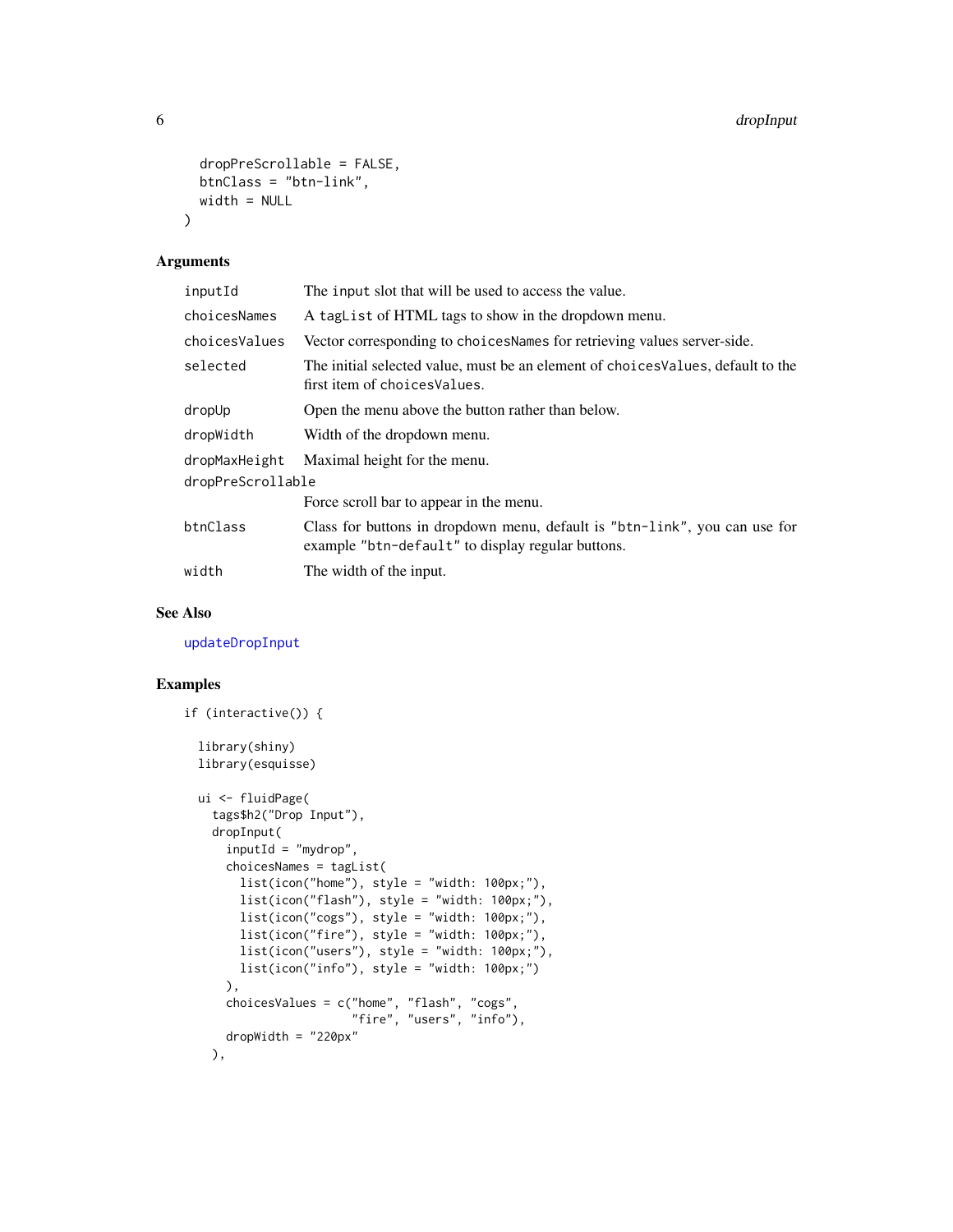```
dropPreScrollable = FALSE,
 btnClass = "btn-link",
 width = NULL\lambda
```
#### Arguments

| inputId           | The input slot that will be used to access the value.                                                                           |
|-------------------|---------------------------------------------------------------------------------------------------------------------------------|
| choicesNames      | A taglist of HTML tags to show in the dropdown menu.                                                                            |
| choicesValues     | Vector corresponding to choices Names for retrieving values server-side.                                                        |
| selected          | The initial selected value, must be an element of choices Values, default to the<br>first item of choices Values.               |
| dropUp            | Open the menu above the button rather than below.                                                                               |
| dropWidth         | Width of the dropdown menu.                                                                                                     |
| dropMaxHeight     | Maximal height for the menu.                                                                                                    |
| dropPreScrollable |                                                                                                                                 |
|                   | Force scroll bar to appear in the menu.                                                                                         |
| btnClass          | Class for buttons in dropdown menu, default is "btn-link", you can use for<br>example "btn-default" to display regular buttons. |
| width             | The width of the input.                                                                                                         |
|                   |                                                                                                                                 |

#### See Also

[updateDropInput](#page-30-1)

```
if (interactive()) {
 library(shiny)
 library(esquisse)
 ui <- fluidPage(
   tags$h2("Drop Input"),
   dropInput(
     inputId = "mydrop",choicesNames = tagList(
       list(icon("home"), style = "width: 100px;"),
       list(icon("flash"), style = "width: 100px;"),
       list(icon("cogs"), style = "width: 100px;"),
       list(icon("fire"), style = "width: 100px;"),
       list(icon("users"), style = "width: 100px;"),list(icon("info"), style = "width: 100px;")
     ),
      choicesValues = c("home", "flash", "cogs",
                        "fire", "users", "info"),
     dropWidth = "220px"
   ),
```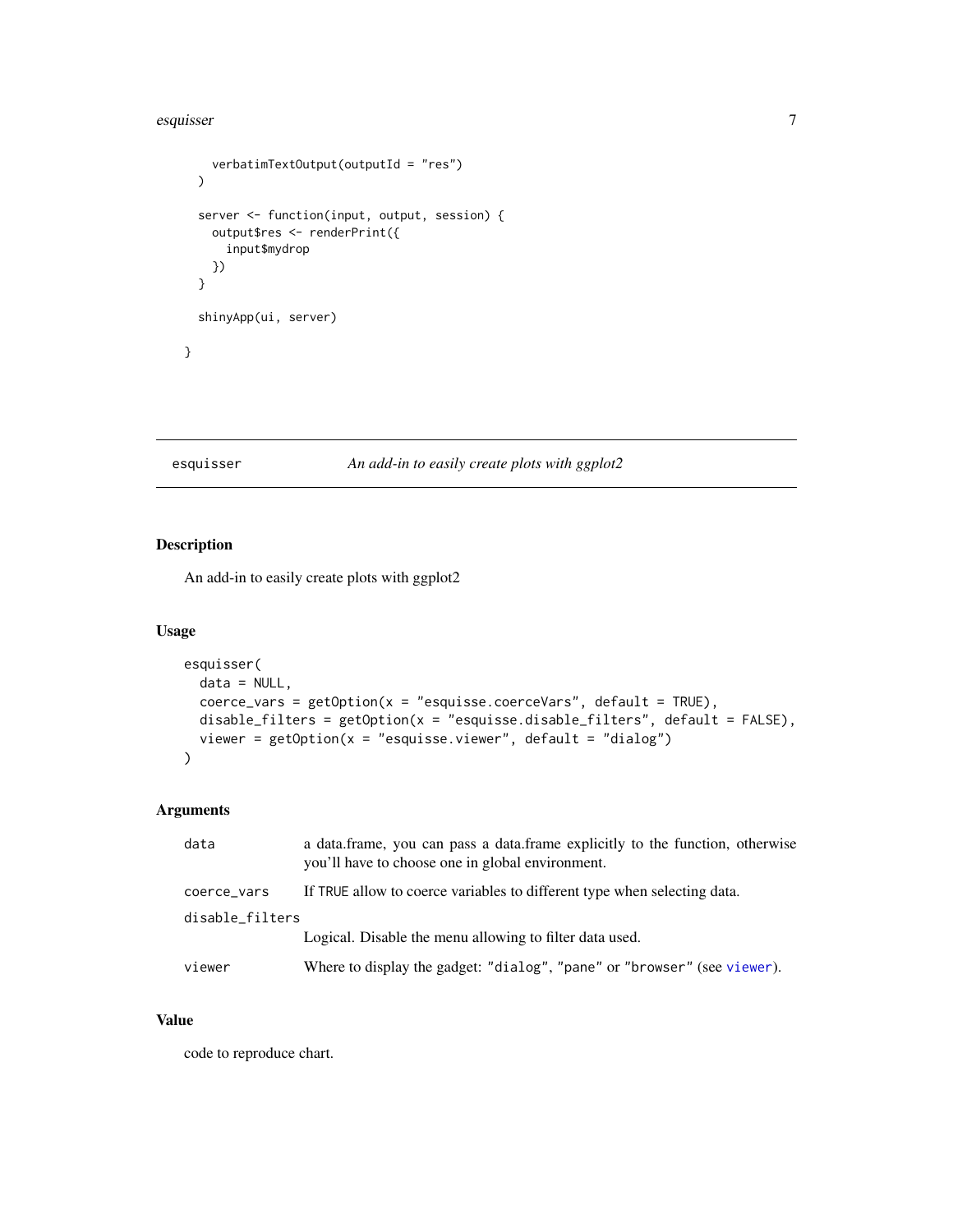#### <span id="page-6-0"></span>esquisser 7

```
verbatimTextOutput(outputId = "res")
  \mathcal{L}server <- function(input, output, session) {
    output$res <- renderPrint({
      input$mydrop
    })
  }
  shinyApp(ui, server)
}
```
#### esquisser *An add-in to easily create plots with ggplot2*

#### Description

An add-in to easily create plots with ggplot2

#### Usage

```
esquisser(
  data = NULL,
  coerce_vars = getOption(x = "esquisse.coerceVars", default = TRUE),
 disable_filters = getOption(x = "esquisse.disable_filters", default = FALSE),
 viewer = getOption(x = "esquisse.viewer", default = "dialog")
\mathcal{L}
```
#### Arguments

| data            | a data frame, you can pass a data frame explicitly to the function, otherwise<br>you'll have to choose one in global environment. |  |
|-----------------|-----------------------------------------------------------------------------------------------------------------------------------|--|
| coerce_vars     | If TRUE allow to coerce variables to different type when selecting data.                                                          |  |
| disable_filters |                                                                                                                                   |  |
|                 | Logical. Disable the menu allowing to filter data used.                                                                           |  |
| viewer          | Where to display the gadget: "dialog", "pane" or "browser" (see viewer).                                                          |  |

#### Value

code to reproduce chart.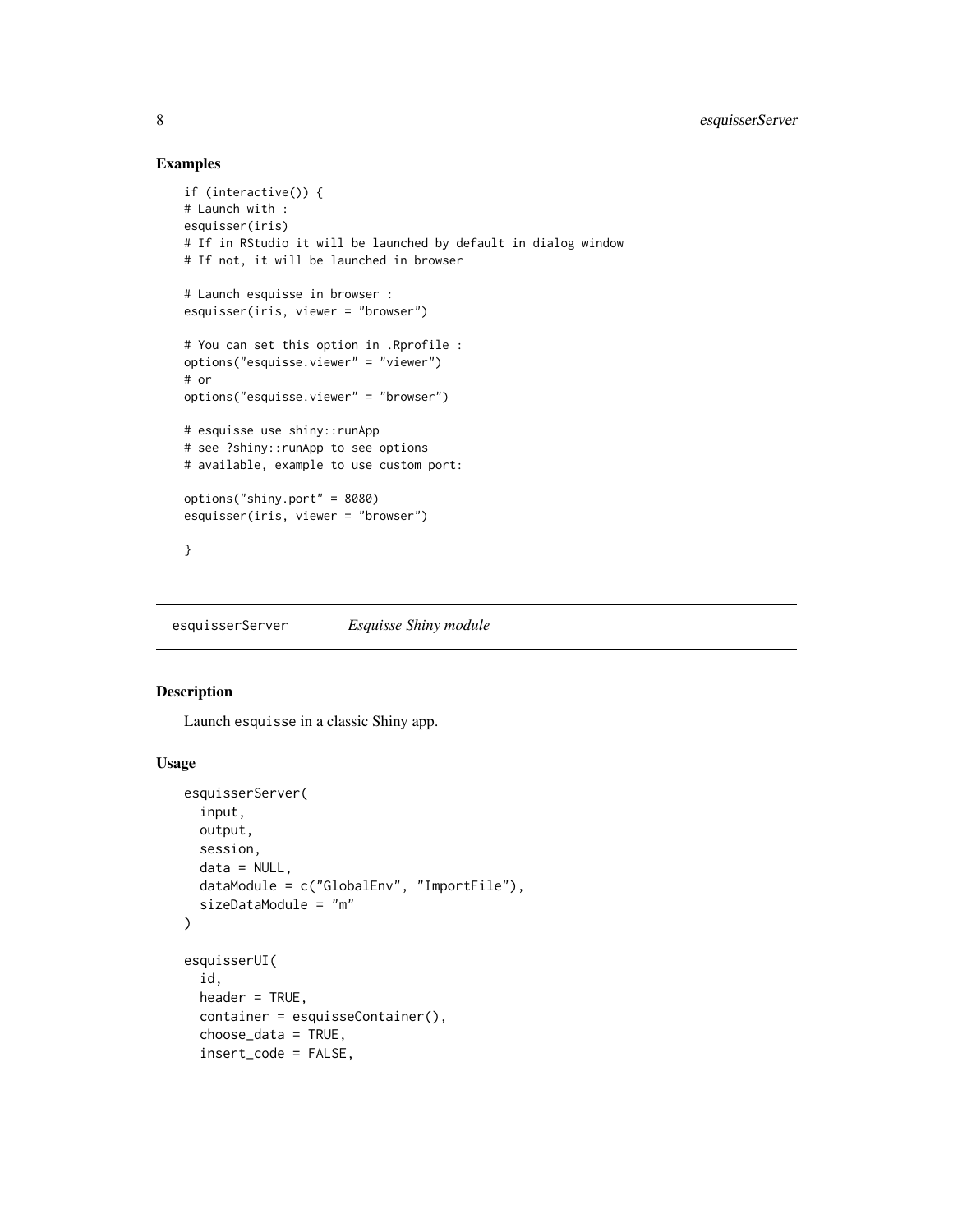#### Examples

```
if (interactive()) {
# Launch with :
esquisser(iris)
# If in RStudio it will be launched by default in dialog window
# If not, it will be launched in browser
# Launch esquisse in browser :
esquisser(iris, viewer = "browser")
# You can set this option in .Rprofile :
options("esquisse.viewer" = "viewer")
# or
options("esquisse.viewer" = "browser")
# esquisse use shiny::runApp
# see ?shiny::runApp to see options
# available, example to use custom port:
options("shiny.port" = 8080)
esquisser(iris, viewer = "browser")
}
```
esquisserServer *Esquisse Shiny module*

#### Description

Launch esquisse in a classic Shiny app.

#### Usage

```
esquisserServer(
  input,
 output,
 session,
 data = NULL,dataModule = c("GlobalEnv", "ImportFile"),
  sizeDataModule = "m"
)
esquisserUI(
  id,
 header = TRUE,
 container = esquisseContainer(),
  choose_data = TRUE,
  insert_code = FALSE,
```
<span id="page-7-0"></span>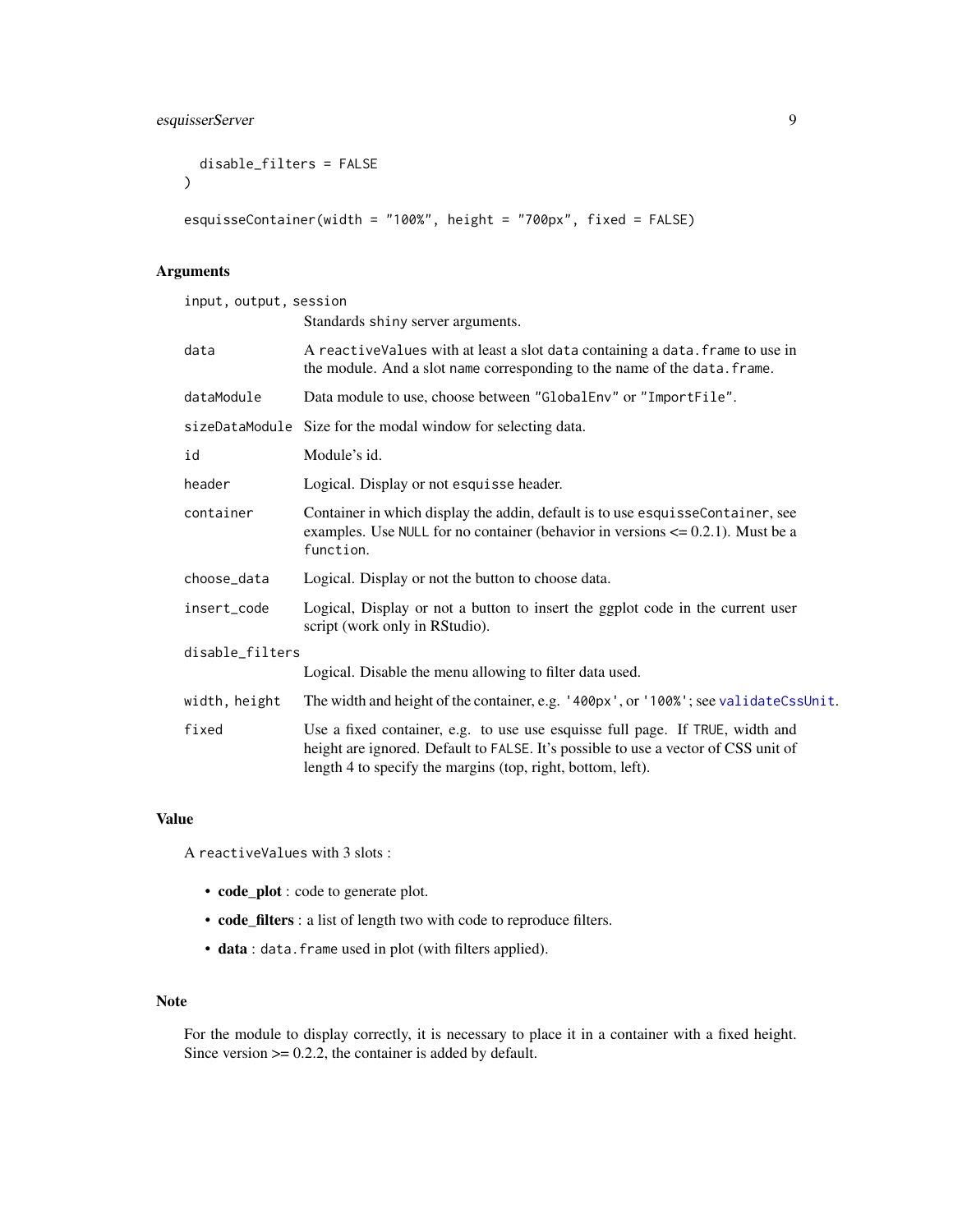#### <span id="page-8-0"></span>esquisserServer 9

```
disable_filters = FALSE
\mathcal{L}esquisseContainer(width = "100%", height = "700px", fixed = FALSE)
```
#### Arguments

| input, output, session |                                                                                                                                                                                                                                    |  |
|------------------------|------------------------------------------------------------------------------------------------------------------------------------------------------------------------------------------------------------------------------------|--|
|                        | Standards shiny server arguments.                                                                                                                                                                                                  |  |
| data                   | A reactive Values with at least a slot data containing a data. frame to use in<br>the module. And a slot name corresponding to the name of the data. frame.                                                                        |  |
| dataModule             | Data module to use, choose between "GlobalEnv" or "ImportFile".                                                                                                                                                                    |  |
|                        | sizeDataModule Size for the modal window for selecting data.                                                                                                                                                                       |  |
| id                     | Module's id.                                                                                                                                                                                                                       |  |
| header                 | Logical. Display or not esquisse header.                                                                                                                                                                                           |  |
| container              | Container in which display the addin, default is to use esquisseContainer, see<br>examples. Use NULL for no container (behavior in versions $\leq 0.2.1$ ). Must be a<br>function.                                                 |  |
| choose data            | Logical. Display or not the button to choose data.                                                                                                                                                                                 |  |
| insert_code            | Logical, Display or not a button to insert the ggplot code in the current user<br>script (work only in RStudio).                                                                                                                   |  |
| disable_filters        |                                                                                                                                                                                                                                    |  |
|                        | Logical. Disable the menu allowing to filter data used.                                                                                                                                                                            |  |
| width, height          | The width and height of the container, e.g. '400px', or '100%'; see validateCssUnit.                                                                                                                                               |  |
| fixed                  | Use a fixed container, e.g. to use use esquisse full page. If TRUE, width and<br>height are ignored. Default to FALSE. It's possible to use a vector of CSS unit of<br>length 4 to specify the margins (top, right, bottom, left). |  |

#### Value

A reactiveValues with 3 slots :

- code\_plot : code to generate plot.
- code\_filters : a list of length two with code to reproduce filters.
- data : data.frame used in plot (with filters applied).

#### Note

For the module to display correctly, it is necessary to place it in a container with a fixed height. Since version  $\geq 0.2.2$ , the container is added by default.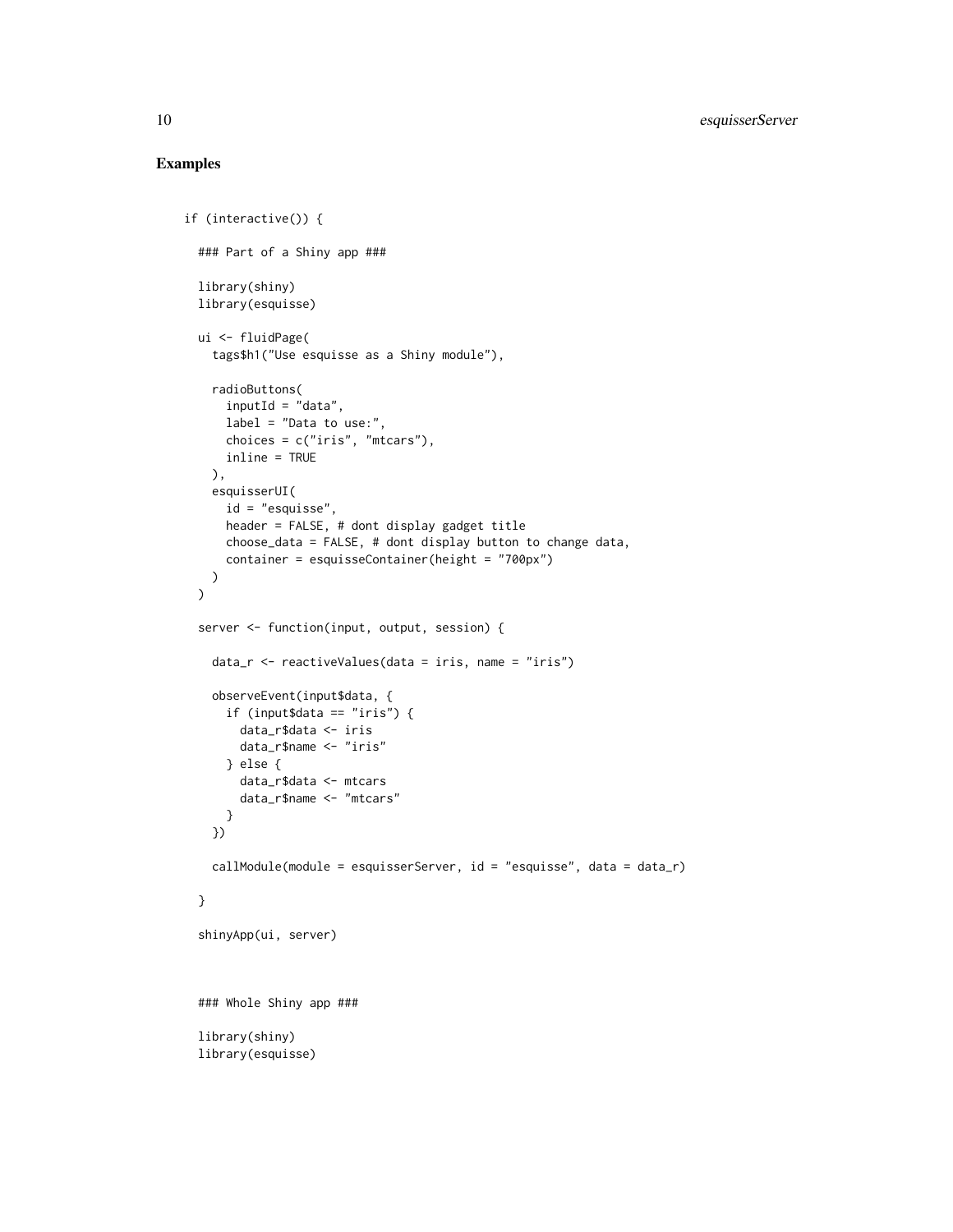```
if (interactive()) {
 ### Part of a Shiny app ###
 library(shiny)
 library(esquisse)
 ui <- fluidPage(
   tags$h1("Use esquisse as a Shiny module"),
   radioButtons(
     inputId = "data",label = "Data to use:",
     choices = c("iris", "mtcars"),
     inline = TRUE
   ),
   esquisserUI(
     id = "esquisse",
     header = FALSE, # dont display gadget title
     choose_data = FALSE, # dont display button to change data,
     container = esquisseContainer(height = "700px")
   )
 \mathcal{L}server <- function(input, output, session) {
   data_r <- reactiveValues(data = iris, name = "iris")
   observeEvent(input$data, {
     if (input$data == "iris") {
       data_r$data <- iris
       data_r$name <- "iris"
     } else {
       data_r$data <- mtcars
       data_r$name <- "mtcars"
     }
   })
   callModule(module = esquisserServer, id = "esquisse", data = data_r)
 }
 shinyApp(ui, server)
 ### Whole Shiny app ###
 library(shiny)
 library(esquisse)
```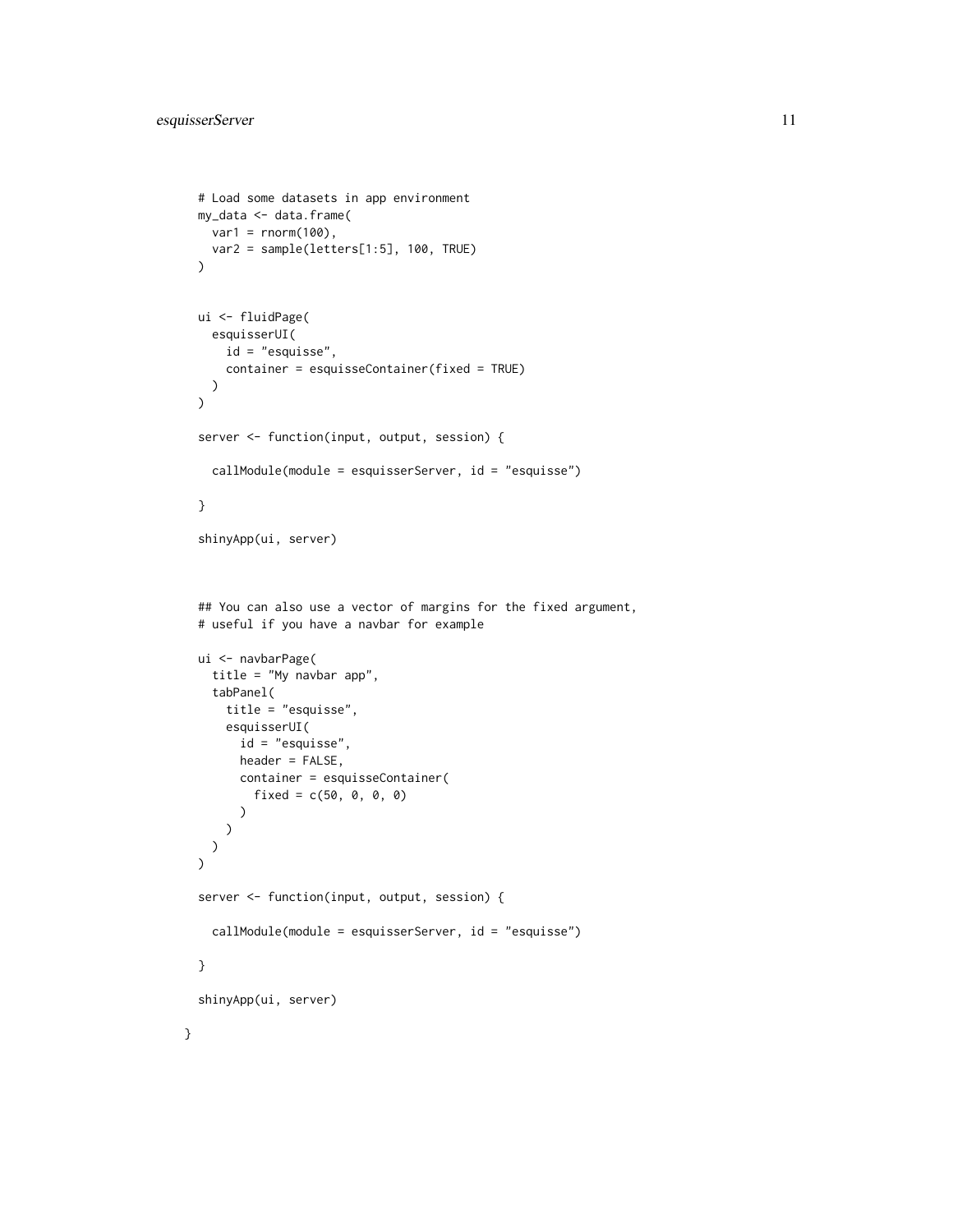}

```
# Load some datasets in app environment
my_data <- data.frame(
 var1 = rnorm(100),
  var2 = sample(letters[1:5], 100, TRUE)
)
ui <- fluidPage(
  esquisserUI(
    id = "esquisse",
    container = esquisseContainer(fixed = TRUE)
  )
\mathcal{L}server <- function(input, output, session) {
  callModule(module = esquisserServer, id = "esquisse")
}
shinyApp(ui, server)
## You can also use a vector of margins for the fixed argument,
# useful if you have a navbar for example
ui <- navbarPage(
  title = "My navbar app",
  tabPanel(
   title = "esquisse",
    esquisserUI(
      id = "esquisse",
      header = FALSE,
      container = esquisseContainer(
        fixed = c(50, 0, 0, 0))
   )
 )
\mathcal{L}server <- function(input, output, session) {
  callModule(module = esquisserServer, id = "esquisse")
}
shinyApp(ui, server)
```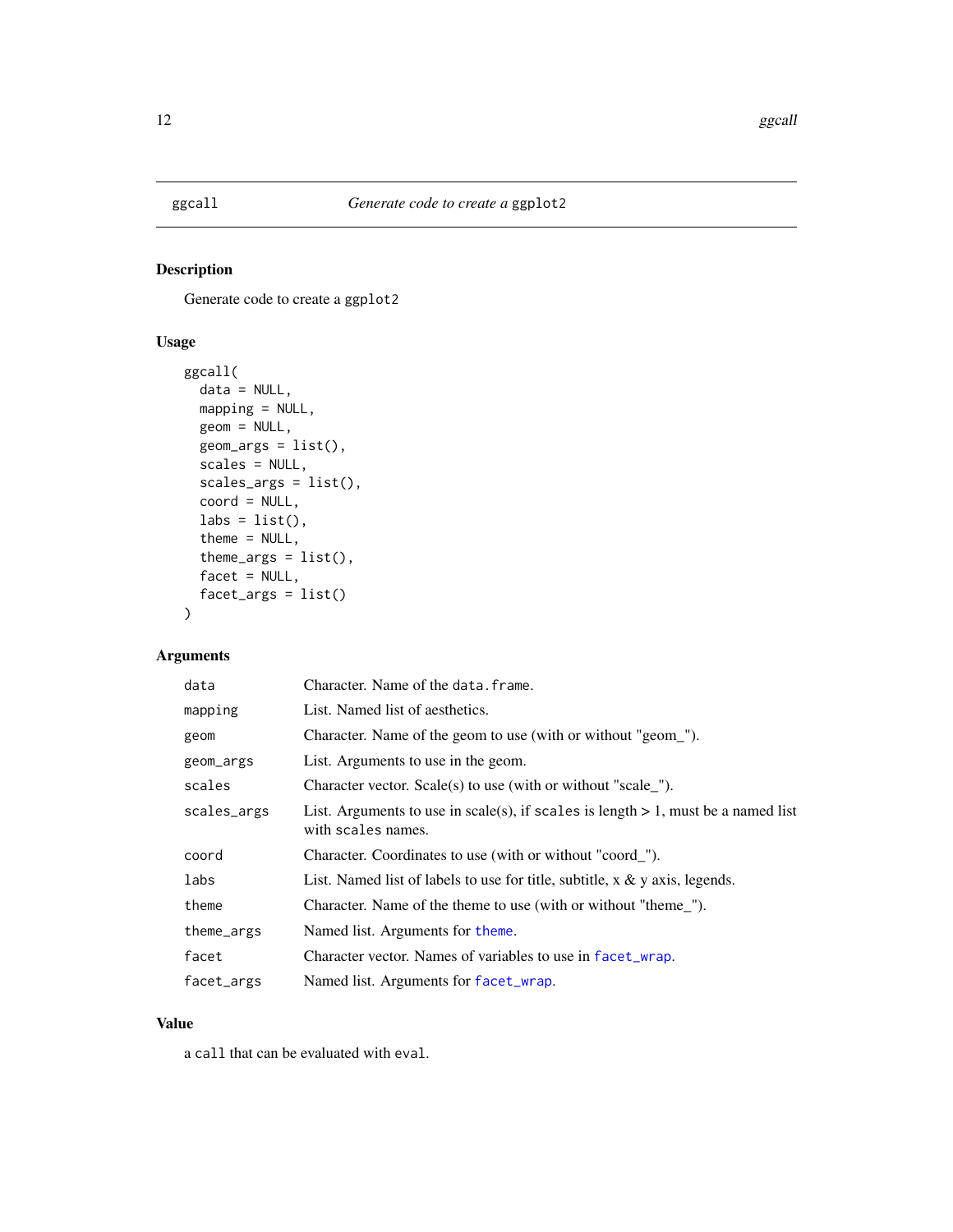<span id="page-11-0"></span>

#### Description

Generate code to create a ggplot2

#### Usage

```
ggcall(
  data = NULL,mapping = NULL,
  geom = NULL,
  geom_{args} = list(),
  scales = NULL,
  scales_args = list(),
  coord = NULL,
  \text{labs} = \text{list}(),
  theme = NULL,theme_args = list(),
  facet = NULL,factor_{args} = list())
```
#### Arguments

| data        | Character. Name of the data. frame.                                                                        |
|-------------|------------------------------------------------------------------------------------------------------------|
| mapping     | List. Named list of aesthetics.                                                                            |
| geom        | Character. Name of the geom to use (with or without "geom").                                               |
| geom_args   | List. Arguments to use in the geom.                                                                        |
| scales      | Character vector. Scale(s) to use (with or without "scale_").                                              |
| scales_args | List. Arguments to use in scale(s), if scales is length $> 1$ , must be a named list<br>with scales names. |
| coord       | Character. Coordinates to use (with or without "coord").                                                   |
| labs        | List. Named list of labels to use for title, subtitle, $x \& y$ axis, legends.                             |
| theme       | Character. Name of the theme to use (with or without "theme").                                             |
| theme_args  | Named list. Arguments for theme.                                                                           |
| facet       | Character vector. Names of variables to use in facet_wrap.                                                 |
| facet_args  | Named list. Arguments for facet_wrap.                                                                      |

#### Value

a call that can be evaluated with eval.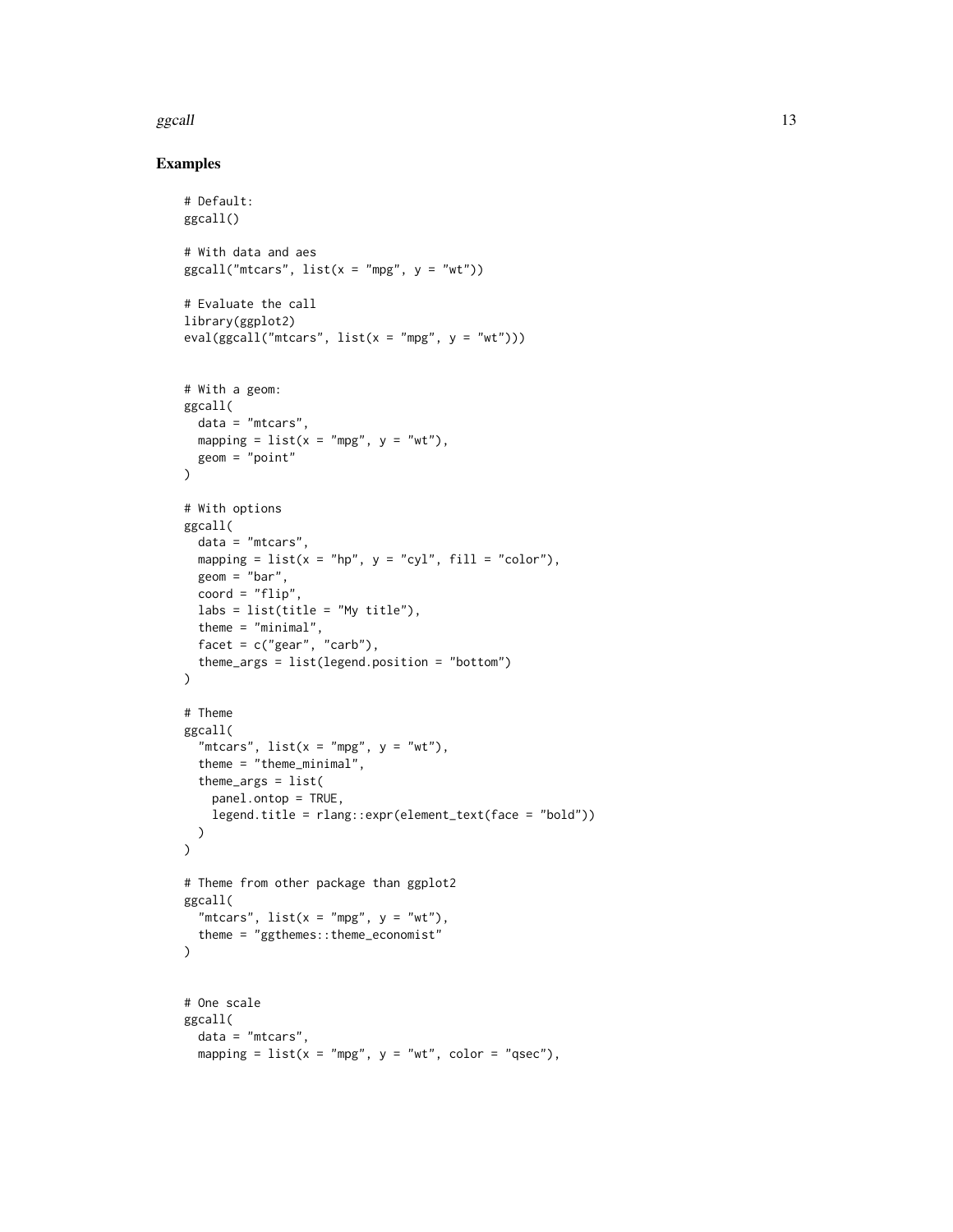#### ggcall and the set of the set of the set of the set of the set of the set of the set of the set of the set of the set of the set of the set of the set of the set of the set of the set of the set of the set of the set of th

```
# Default:
ggcall()
# With data and aes
ggcall("mtcars", list(x = "mpg", y = "wt"))# Evaluate the call
library(ggplot2)
eval(ggcall("mtcars", list(x = "mpg", y = "wt")))
# With a geom:
ggcall(
 data = "mtcars",
 mapping = list(x = "mpg", y = "wt"),
 geom = "point"
\lambda# With options
ggcall(
 data = "mtcars",
 mapping = list(x = "hp", y = "cyl", fill = "color"),geom = "bar",
 coord = "flip",
 \text{labels} = \text{list}(\text{title} = \text{"My title"}),theme = "minimal",
  facet = c("gear", "carb"),theme_args = list(legend.position = "bottom")
\lambda# Theme
ggcall(
  "mtcars", list(x = "mpg", y = "wt"),
  theme = "theme_minimal",
 theme_args = list(
    panel.ontop = TRUE,
    legend.title = rlang::expr(element_text(face = "bold"))
  )
\lambda# Theme from other package than ggplot2
ggcall(
  "mtcars", list(x = "mpg", y = "wt"),
  theme = "ggthemes::theme_economist"
\lambda# One scale
ggcall(
  data = "mtcars",
 mapping = list(x = "mpg", y = "wt", color = "qsec"),
```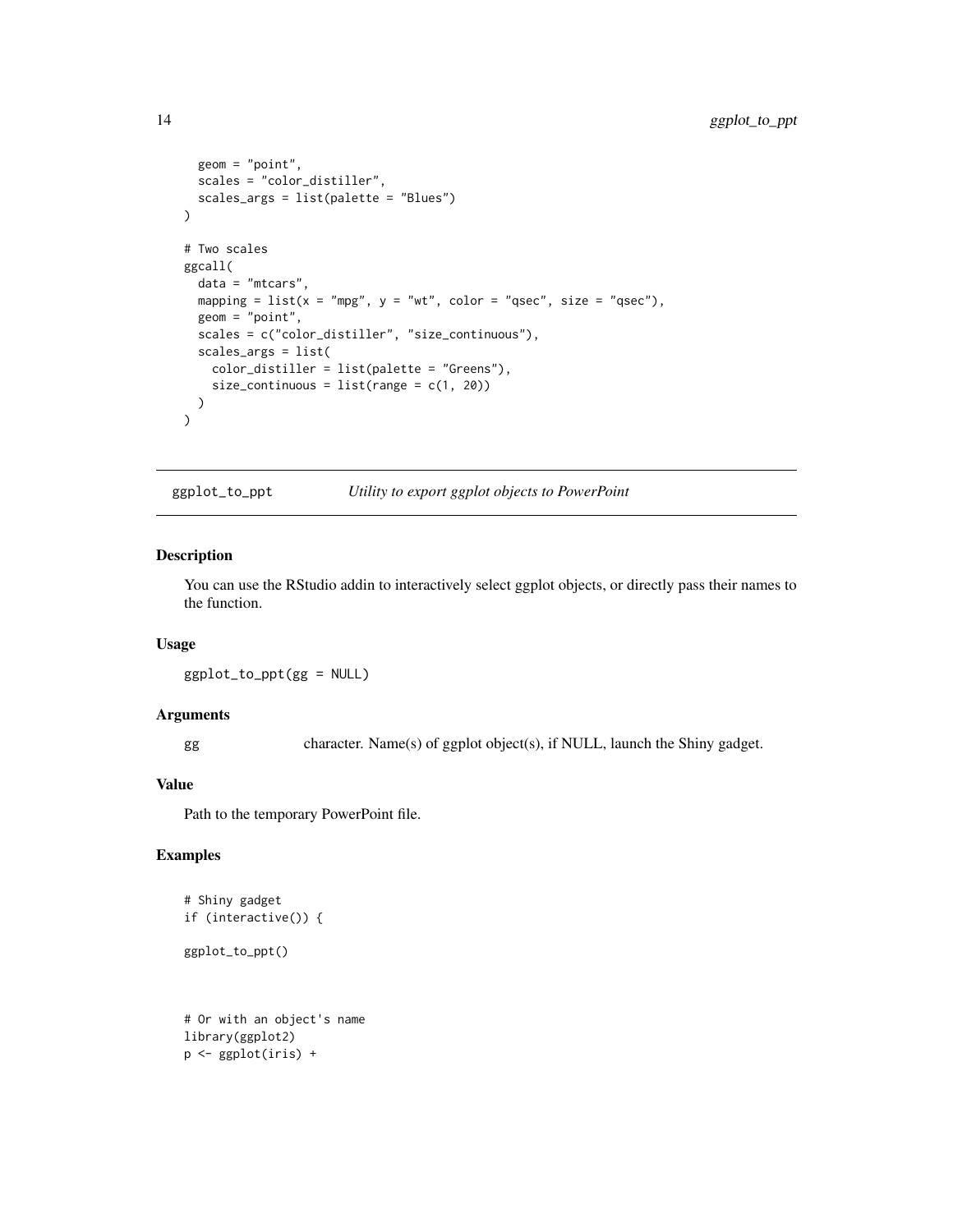```
geom = "point",
  scales = "color_distiller",
  scales_args = list(palette = "Blues")
\lambda# Two scales
ggcall(
  data = "mtcars",
 mapping = list(x = "mpg", y = "wt", color = "qsec", size = "qsec"),geom = "point",
  scales = c("color_distiller", "size_continuous"),
  scales_args = list(
   color_distiller = list(palette = "Greens"),
    size\_continuous = list(range = c(1, 20)))
)
```
ggplot\_to\_ppt *Utility to export ggplot objects to PowerPoint*

#### Description

You can use the RStudio addin to interactively select ggplot objects, or directly pass their names to the function.

#### Usage

ggplot\_to\_ppt(gg = NULL)

#### Arguments

gg character. Name(s) of ggplot object(s), if NULL, launch the Shiny gadget.

#### Value

Path to the temporary PowerPoint file.

#### Examples

```
# Shiny gadget
if (interactive()) {
ggplot_to_ppt()
```
# Or with an object's name library(ggplot2) p <- ggplot(iris) +

<span id="page-13-0"></span>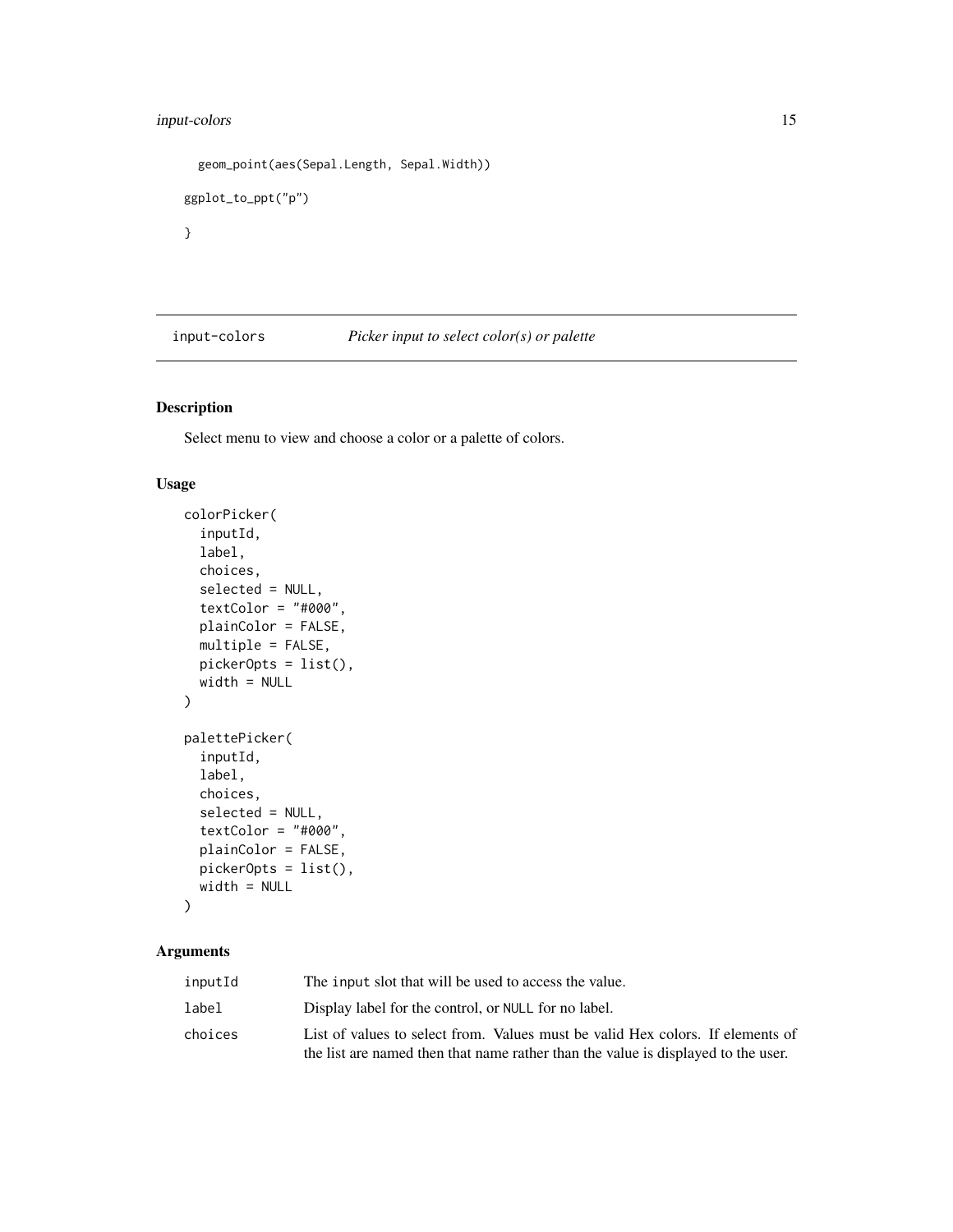#### <span id="page-14-0"></span>input-colors 15

```
geom_point(aes(Sepal.Length, Sepal.Width))
ggplot_to_ppt("p")
}
```
#### input-colors *Picker input to select color(s) or palette*

#### Description

Select menu to view and choose a color or a palette of colors.

#### Usage

```
colorPicker(
  inputId,
  label,
  choices,
  selected = NULL,
  textColor = "#000",plainColor = FALSE,
 multiple = FALSE,
 pickerOpts = list(),
 width = NULL
)
palettePicker(
  inputId,
  label,
  choices,
  selected = NULL,
  textColor = "#000",plainColor = FALSE,
 pickerOpts = list(),
 width = NULL
)
```
#### Arguments

| inputId | The input slot that will be used to access the value.                             |
|---------|-----------------------------------------------------------------------------------|
| label   | Display label for the control, or NULL for no label.                              |
| choices | List of values to select from. Values must be valid Hex colors. If elements of    |
|         | the list are named then that name rather than the value is displayed to the user. |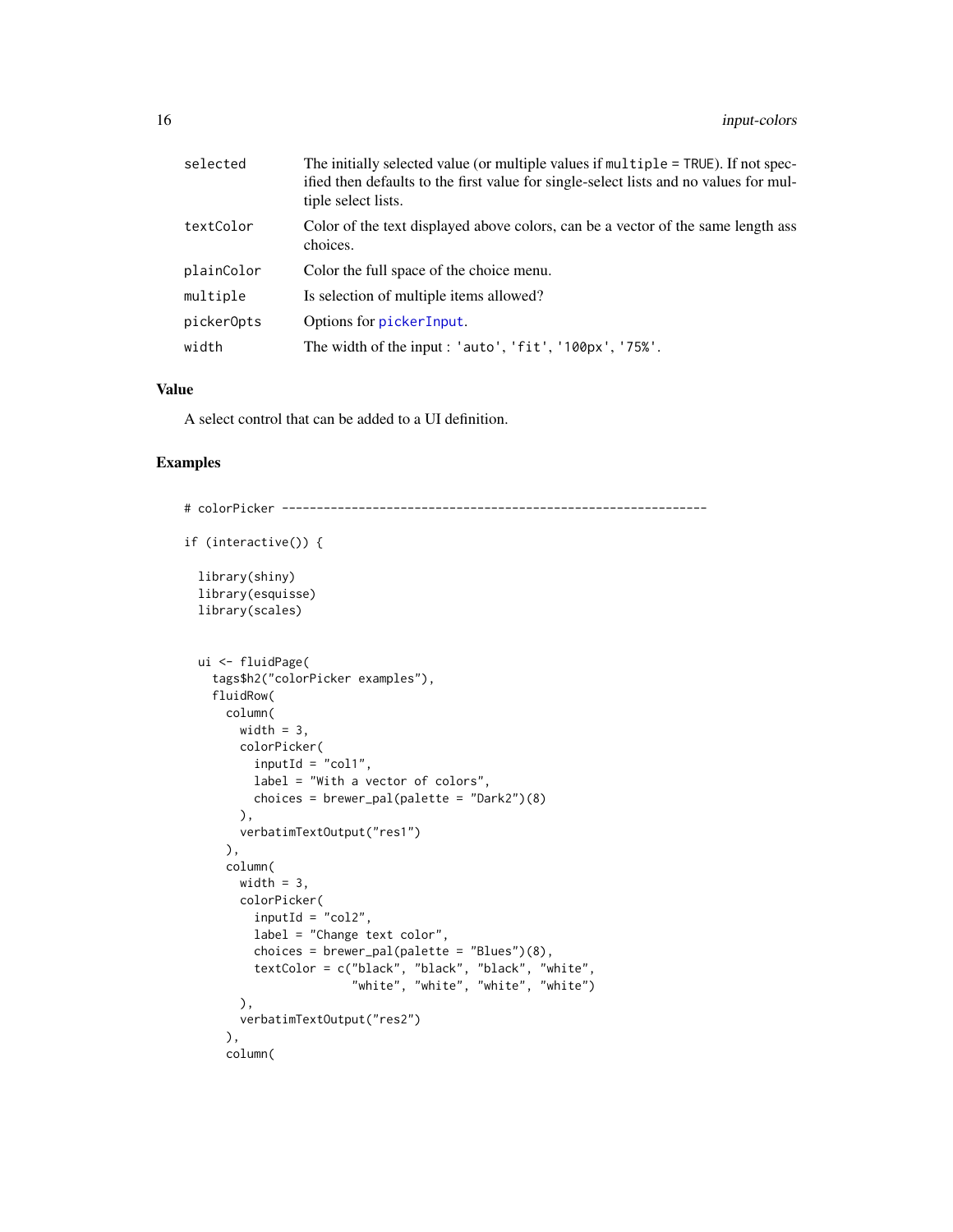<span id="page-15-0"></span>

| selected   | The initially selected value (or multiple values if multiple = TRUE). If not spec-<br>ified then defaults to the first value for single-select lists and no values for mul-<br>tiple select lists. |
|------------|----------------------------------------------------------------------------------------------------------------------------------------------------------------------------------------------------|
| textColor  | Color of the text displayed above colors, can be a vector of the same length ass<br>choices.                                                                                                       |
| plainColor | Color the full space of the choice menu.                                                                                                                                                           |
| multiple   | Is selection of multiple items allowed?                                                                                                                                                            |
| pickerOpts | Options for pickerInput.                                                                                                                                                                           |
| width      | The width of the input: 'auto', 'fit', '100px', '75%'.                                                                                                                                             |

#### Value

A select control that can be added to a UI definition.

```
# colorPicker -------------------------------------------------------------
if (interactive()) {
 library(shiny)
 library(esquisse)
 library(scales)
 ui <- fluidPage(
   tags$h2("colorPicker examples"),
   fluidRow(
     column(
       width = 3,
       colorPicker(
         inputId = "coll",label = "With a vector of colors",
         choices = brewer_pal(palette = "Dark2")(8)
       ),
       verbatimTextOutput("res1")
     ),
     column(
       width = 3,
       colorPicker(
         inputId = "col2",label = "Change text color",
         choices = brewer_pal(palette = "Blues")(8),
          textColor = c("black", "black", "black", "white",
                        "white", "white", "white", "white")
       ),
       verbatimTextOutput("res2")
     ),
     column(
```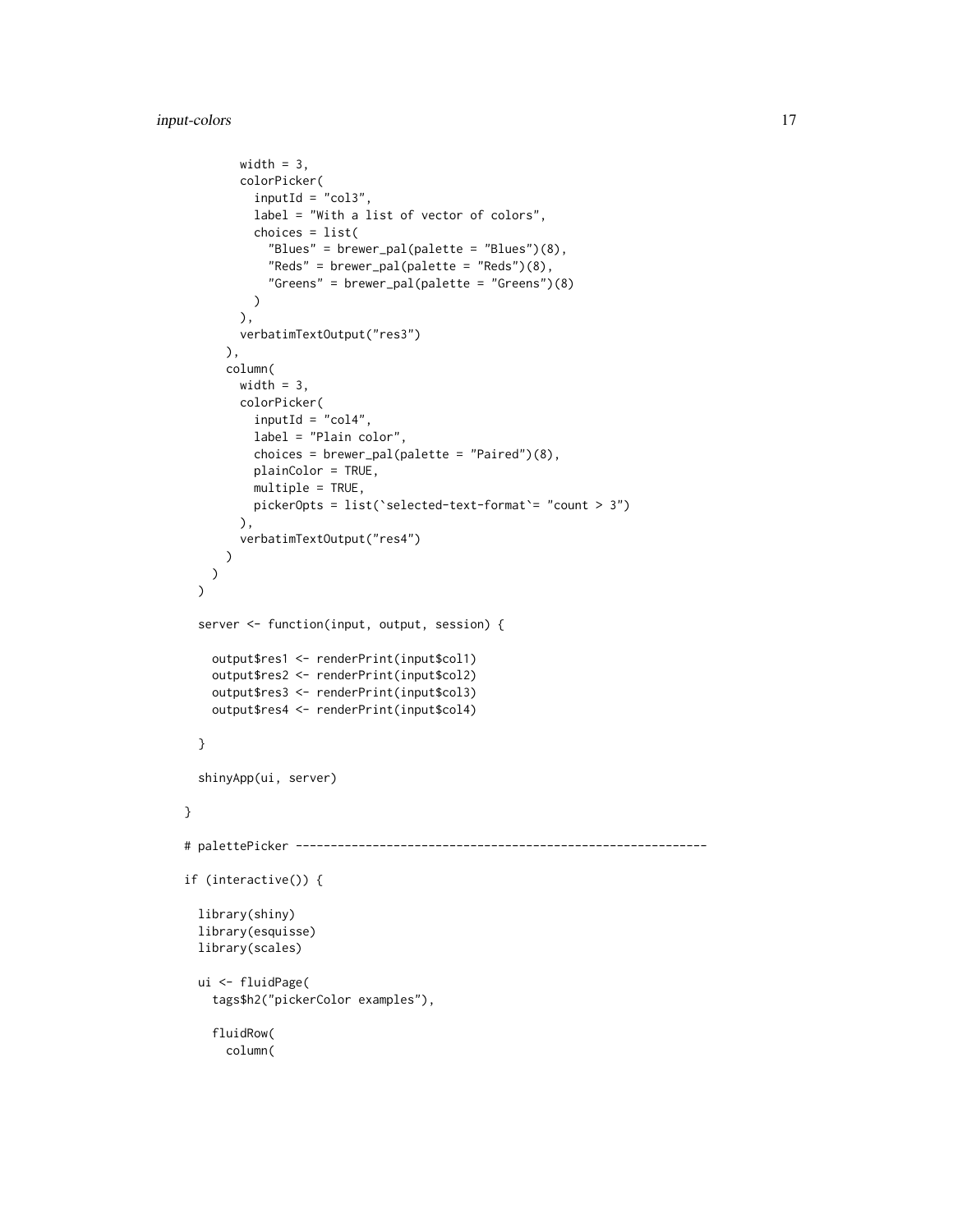```
width = 3,
       colorPicker(
         inputId = "col3",label = "With a list of vector of colors",
         choices = list(
            "Blues" = brewer_pal(palette = "Blues")(8),
            "Reds" = brewer_pal(palette = "Reds")(8),
            "Greens" = brewer_pal(palette = "Greens")(8)
         \lambda),
       verbatimTextOutput("res3")
      ),
      column(
       width = 3,
       colorPicker(
         inputId = "col4",
         label = "Plain color",
         choices = brewer_pal(palette = "Paired")(8),
         plainColor = TRUE,
         multiple = TRUE,
         pickerOpts = list(`selected-text-format`= "count > 3")
       ),
       verbatimTextOutput("res4")
     )
   )
 \mathcal{L}server <- function(input, output, session) {
   output$res1 <- renderPrint(input$col1)
   output$res2 <- renderPrint(input$col2)
   output$res3 <- renderPrint(input$col3)
   output$res4 <- renderPrint(input$col4)
 }
 shinyApp(ui, server)
}
# palettePicker -----------------------------------------------------------
if (interactive()) {
 library(shiny)
 library(esquisse)
 library(scales)
 ui <- fluidPage(
    tags$h2("pickerColor examples"),
    fluidRow(
      column(
```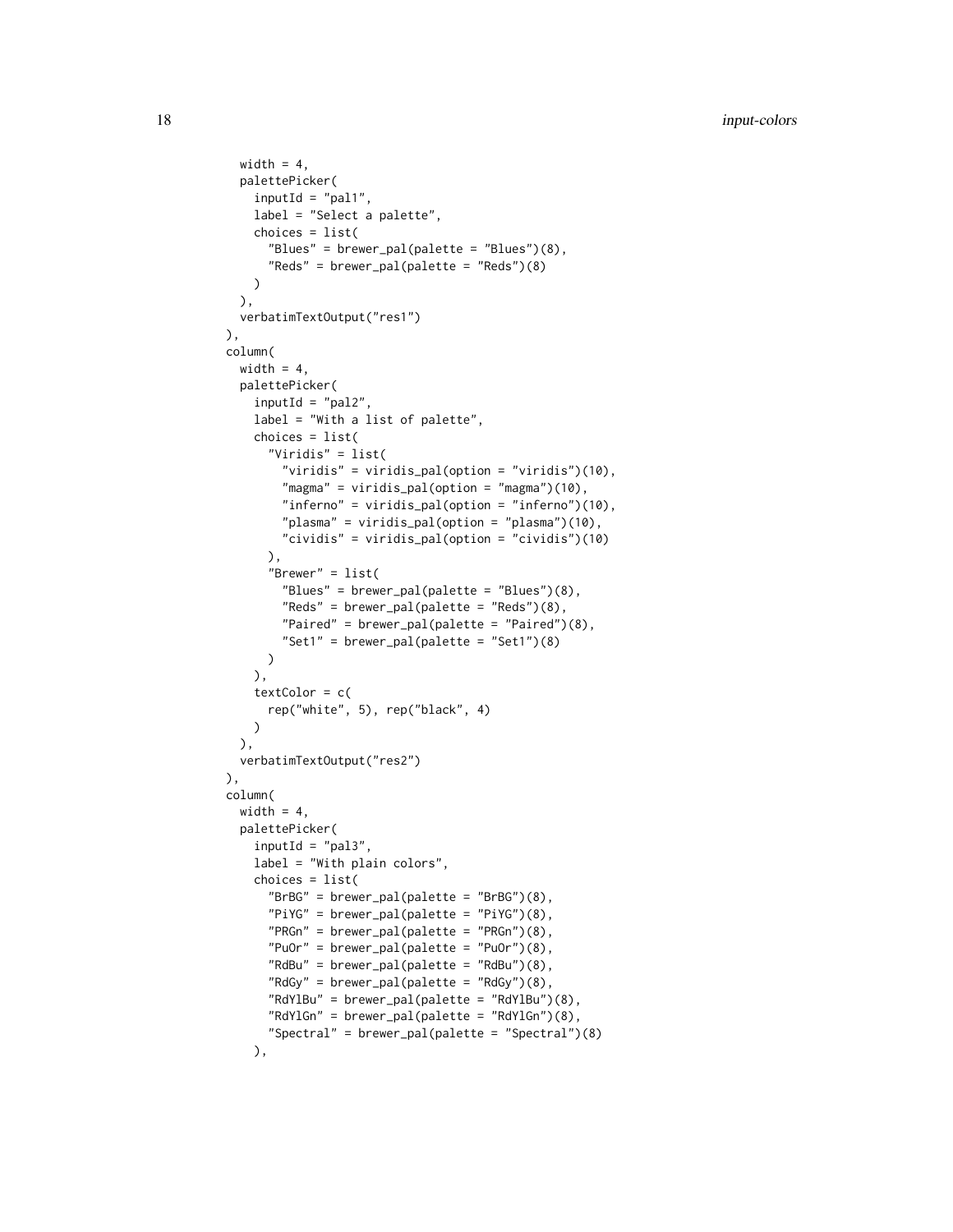```
width = 4,
  palettePicker(
    inputId = "pall",label = "Select a palette",
    choices = list(
      "Blues" = brewer_pal(palette = "Blues")(8),
      "Reds" = brewer_pal(palette = "Reds")(8)
   )
 ),
  verbatimTextOutput("res1")
),
column(
  width = 4,
  palettePicker(
    inputId = "pal2",label = "With a list of palette",
   choices = list(
      "Viridis" = list(
        "viridis" = viridis_pal(option = "viridis")(10),
        "magma" = viridis_pal(option = "magma")(10),
        "inferno" = viridis_pal(option = "inferno")(10),
        "plasma" = viridis_pal(option = "plasma")(10),
        "cividis" = viridis_pal(option = "cividis")(10)
      ),
      "Brewer" = list(
        "Blues" = brewer_pal(palette = "Blues")(8),
        "Reds" = brewer_pal(palette = "Reds")(8),
        "Paired" = brewer_pal(palette = "Paired")(8),
        "Set1" = brewer_pal(palette = "Set1")(8)
     )
    ),
    textColor = c(
      rep("white", 5), rep("black", 4)
   )
 ),
 verbatimTextOutput("res2")
),
column(
  width = 4,
  palettePicker(
    inputId = "pal3",label = "With plain colors",
    choices = list(
      "BrBG" = brewer_pal(palette = "BrBG")(8),
      "PiYG" = brewer_pal(palette = "PiYG")(8),
      "PRGn" = brewer_pal(palette = "PRGn")(8),
      "Pu0r" = brewerpal(palette = "Pu0r")(8),"RdBu" = brewer\_pal(palette = "RdBu") (8),
      "RdGy" = brewer_pal(palette = "RdGy")(8),
      "RdYlBu" = brewer_pal(palette = "RdYlBu")(8),
      "RdYlGn" = brewer_pal(palette = "RdYlGn")(8),
      "Spectral" = brewer_pal(palette = "Spectral")(8)
    ),
```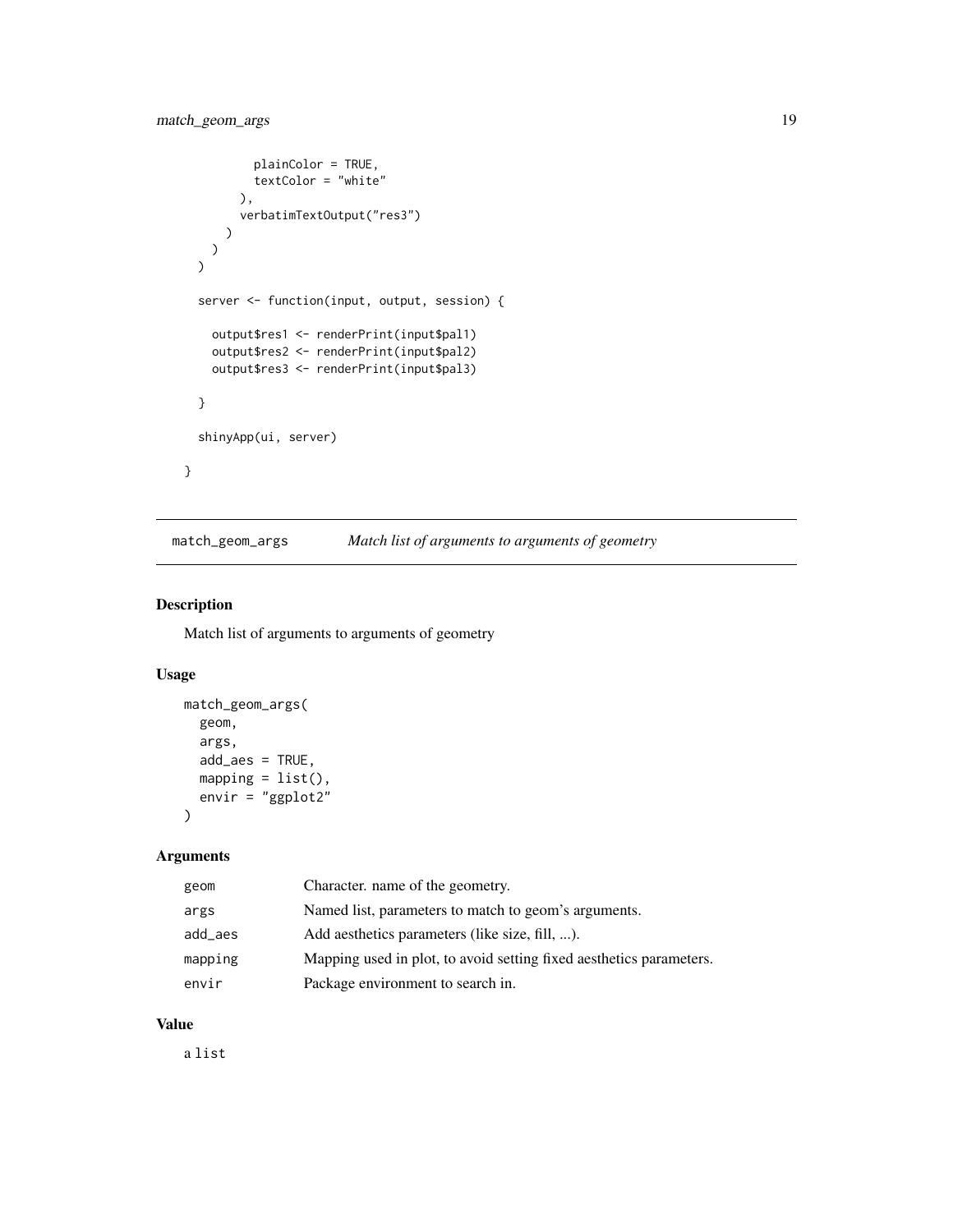```
plainColor = TRUE,
          textColor = "white"
        ),
        verbatimTextOutput("res3")
     )
   )
 \overline{)}server <- function(input, output, session) {
   output$res1 <- renderPrint(input$pal1)
   output$res2 <- renderPrint(input$pal2)
   output$res3 <- renderPrint(input$pal3)
 }
 shinyApp(ui, server)
}
```
match\_geom\_args *Match list of arguments to arguments of geometry*

#### Description

Match list of arguments to arguments of geometry

#### Usage

```
match_geom_args(
  geom,
  args,
  add_aes = TRUE,
  mapping = list(),
  envir = "ggplot2"\mathcal{L}
```
#### Arguments

| geom    | Character, name of the geometry.                                    |
|---------|---------------------------------------------------------------------|
| args    | Named list, parameters to match to geom's arguments.                |
| add_aes | Add aesthetics parameters (like size, fill, ).                      |
| mapping | Mapping used in plot, to avoid setting fixed aesthetics parameters. |
| envir   | Package environment to search in.                                   |

#### Value

a list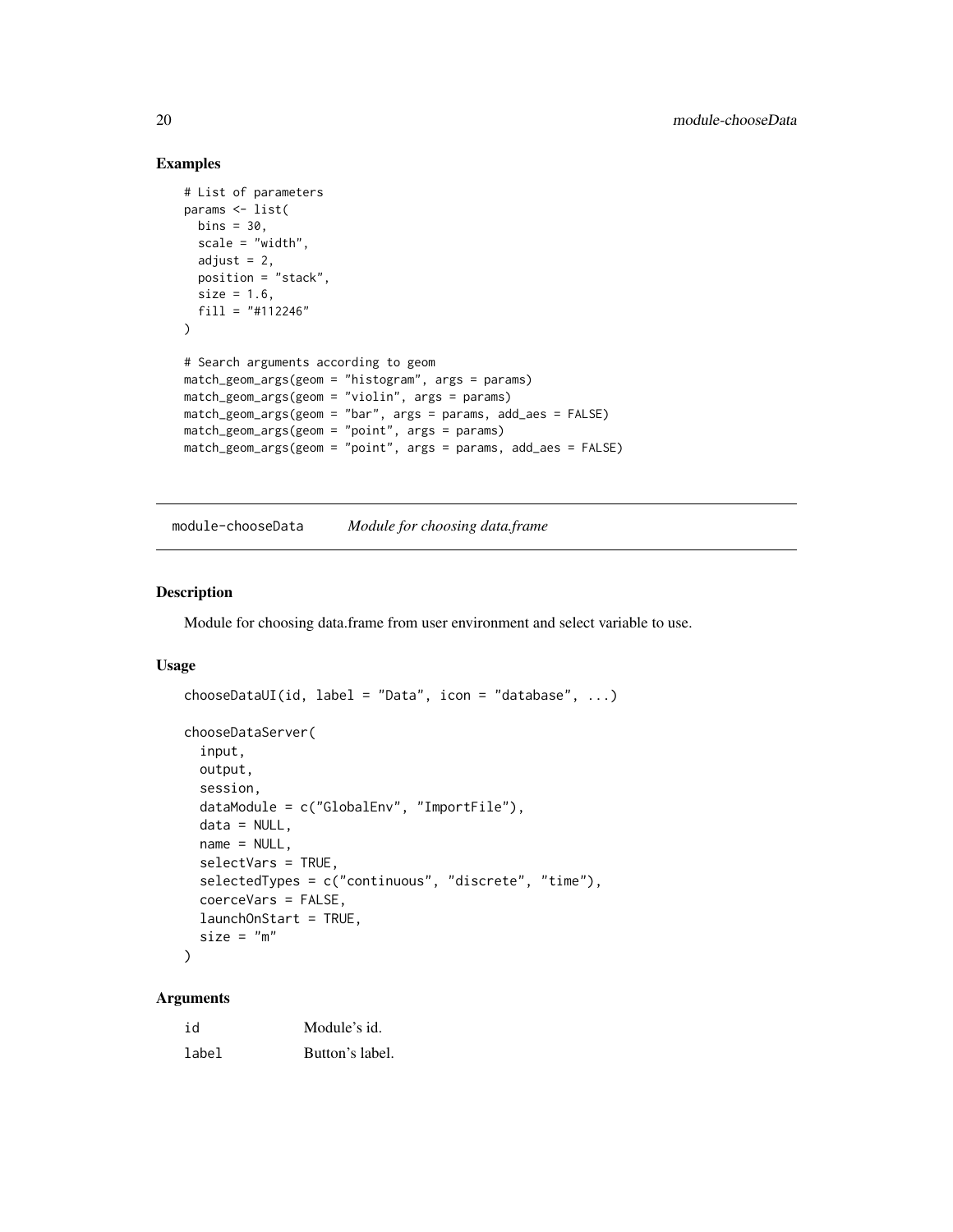#### Examples

```
# List of parameters
params <- list(
  bins = 30,
  scale = "width".adjust = 2,
  position = "stack",
  size = 1.6,
  fill = "#112246"
)
# Search arguments according to geom
match_geom_args(geom = "histogram", args = params)
match_geom_args(geom = "violin", args = params)
match_geom_args(geom = "bar", args = params, add_aes = FALSE)
match_geom_args(geom = "point", args = params)
match_geom_args(geom = "point", args = params, add_aes = FALSE)
```
module-chooseData *Module for choosing data.frame*

#### Description

Module for choosing data.frame from user environment and select variable to use.

#### Usage

```
chooseDataUI(id, label = "Data", icon = "database", ...)
chooseDataServer(
  input,
 output,
  session,
 dataModule = c("GlobalEnv", "ImportFile"),
 data = NULL,name = NULL,selectVars = TRUE,
  selectedTypes = c("continuous", "discrete", "time"),
 coerceVars = FALSE,
 launchOnStart = TRUE,
  size = "m")
```
#### Arguments

| id    | Module's id.    |
|-------|-----------------|
| label | Button's label. |

<span id="page-19-0"></span>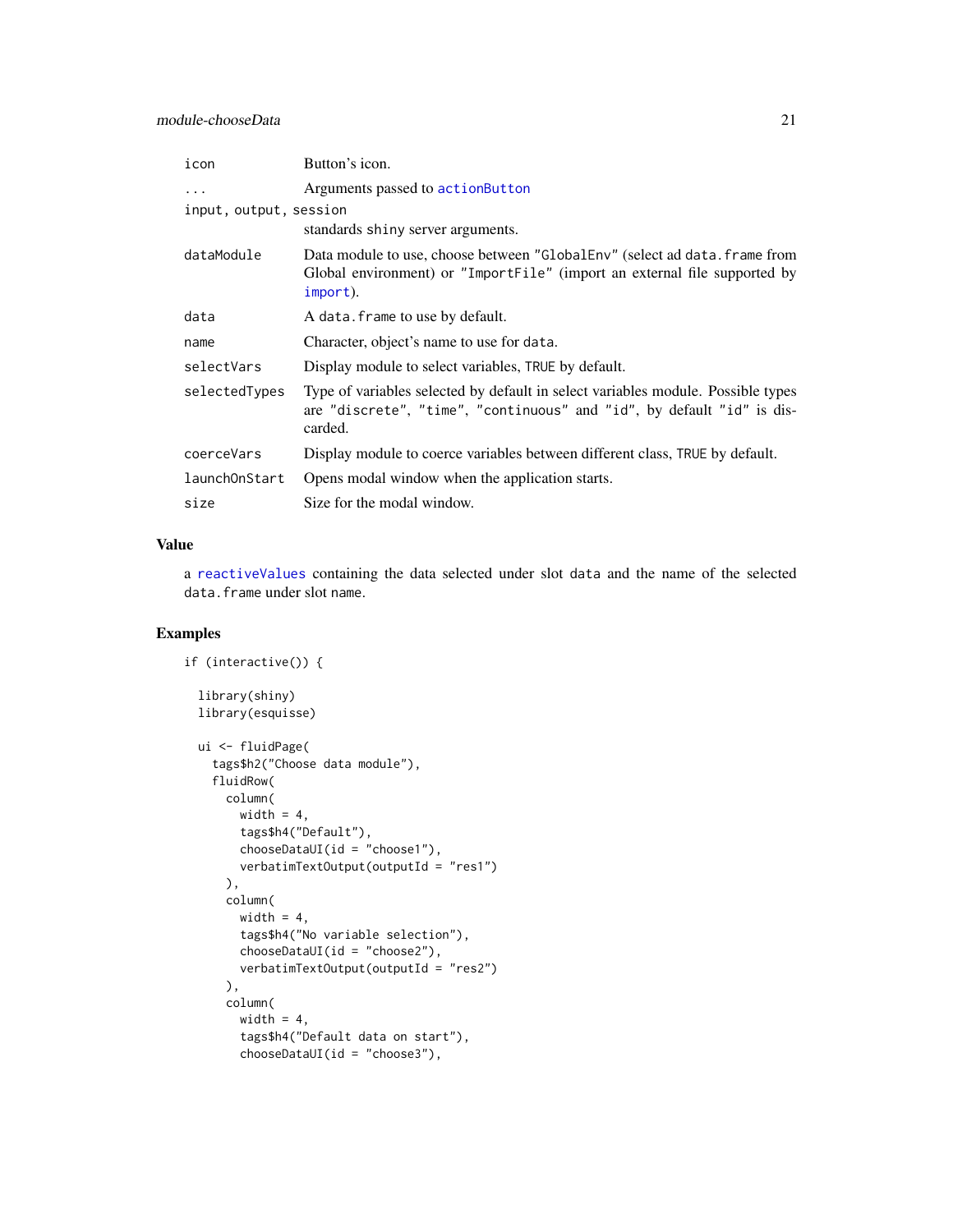<span id="page-20-0"></span>

| icon                   | Button's icon.                                                                                                                                                        |
|------------------------|-----------------------------------------------------------------------------------------------------------------------------------------------------------------------|
| $\ddots$ .             | Arguments passed to action Button                                                                                                                                     |
| input, output, session |                                                                                                                                                                       |
|                        | standards shiny server arguments.                                                                                                                                     |
| dataModule             | Data module to use, choose between "GlobalEnv" (select ad data. frame from<br>Global environment) or "ImportFile" (import an external file supported by<br>import).   |
| data                   | A data. frame to use by default.                                                                                                                                      |
| name                   | Character, object's name to use for data.                                                                                                                             |
| selectVars             | Display module to select variables, TRUE by default.                                                                                                                  |
| selectedTypes          | Type of variables selected by default in select variables module. Possible types<br>are "discrete", "time", "continuous" and "id", by default "id" is dis-<br>carded. |
| coerceVars             | Display module to coerce variables between different class, TRUE by default.                                                                                          |
| launchOnStart          | Opens modal window when the application starts.                                                                                                                       |
| size                   | Size for the modal window.                                                                                                                                            |

#### Value

a [reactiveValues](#page-0-0) containing the data selected under slot data and the name of the selected data.frame under slot name.

```
if (interactive()) {
 library(shiny)
 library(esquisse)
 ui <- fluidPage(
    tags$h2("Choose data module"),
   fluidRow(
     column(
       width = 4,
       tags$h4("Default"),
       chooseDataUI(id = "choose1"),
       verbatimTextOutput(outputId = "res1")
     ),
     column(
       width = 4,tags$h4("No variable selection"),
       chooseDataUI(id = "choose2"),
       verbatimTextOutput(outputId = "res2")
     ),
     column(
       width = 4,tags$h4("Default data on start"),
       chooseDataUI(id = "choose3"),
```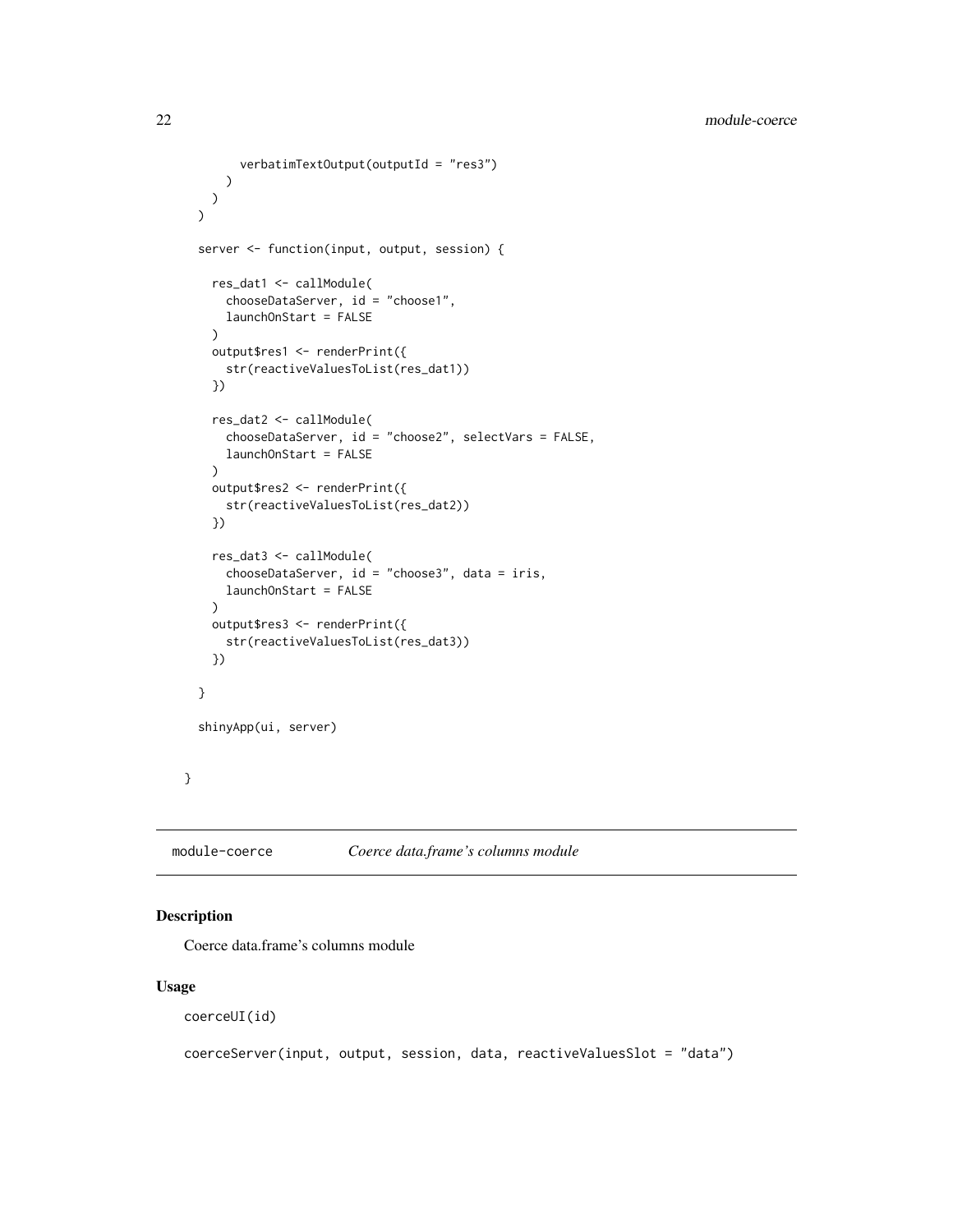```
verbatimTextOutput(outputId = "res3")
   )
 )
\mathcal{L}server <- function(input, output, session) {
 res_dat1 <- callModule(
    chooseDataServer, id = "choose1",
    launchOnStart = FALSE
  \mathcal{L}output$res1 <- renderPrint({
    str(reactiveValuesToList(res_dat1))
  })
 res_dat2 <- callModule(
    chooseDataServer, id = "choose2", selectVars = FALSE,
    launchOnStart = FALSE
 )
  output$res2 <- renderPrint({
    str(reactiveValuesToList(res_dat2))
 })
  res_dat3 <- callModule(
    chooseDataServer, id = "choose3", data = iris,
    launchOnStart = FALSE
  \lambdaoutput$res3 <- renderPrint({
    str(reactiveValuesToList(res_dat3))
  })
}
shinyApp(ui, server)
```
module-coerce *Coerce data.frame's columns module*

#### Description

}

Coerce data.frame's columns module

#### Usage

coerceUI(id)

coerceServer(input, output, session, data, reactiveValuesSlot = "data")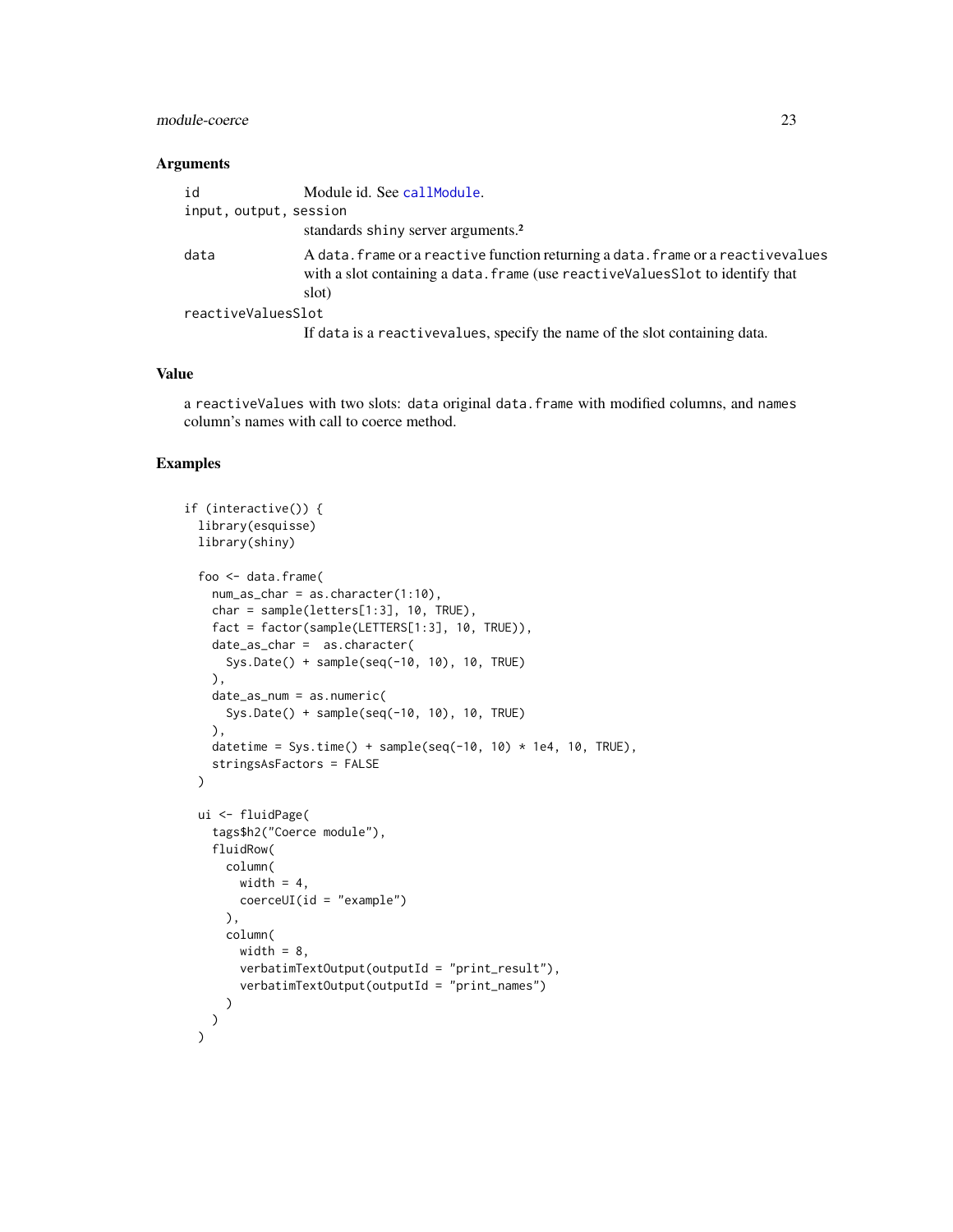#### <span id="page-22-0"></span>module-coerce 23

#### Arguments

| id                     | Module id. See callModule.                                                                                                                                                   |
|------------------------|------------------------------------------------------------------------------------------------------------------------------------------------------------------------------|
| input, output, session |                                                                                                                                                                              |
|                        | standards shiny server arguments. <sup>2</sup>                                                                                                                               |
| data                   | A data. frame or a reactive function returning a data. frame or a reactivevalues<br>with a slot containing a data. frame (use reactive Values Slot to identify that<br>slot) |
| reactiveValuesSlot     |                                                                                                                                                                              |
|                        | If data is a reactive values, specify the name of the slot containing data.                                                                                                  |

#### Value

a reactiveValues with two slots: data original data.frame with modified columns, and names column's names with call to coerce method.

```
if (interactive()) {
 library(esquisse)
 library(shiny)
 foo <- data.frame(
   num_as_char = as.character(1:10),
   char = sample(letters[1:3], 10, TRUE),
   fact = factor(sample(LETTERS[1:3], 10, TRUE)),
   date_as_char = as.character(
     Sys.Date() + sample(seq(-10, 10), 10, TRUE)
   ),
   date_as_num = as.numeric(
      Sys.Date() + sample(seq(-10, 10), 10, TRUE)
   ),
   datetime = Sys.time() + sample(seq(-10, 10) * 1e4, 10, TRUE),
   stringsAsFactors = FALSE
 \lambdaui <- fluidPage(
   tags$h2("Coerce module"),
    fluidRow(
      column(
       width = 4,
       coerceUI(id = "example")
      ),
      column(
       width = 8,
        verbatimTextOutput(outputId = "print_result"),
       verbatimTextOutput(outputId = "print_names")
     )
  )
 \overline{)}
```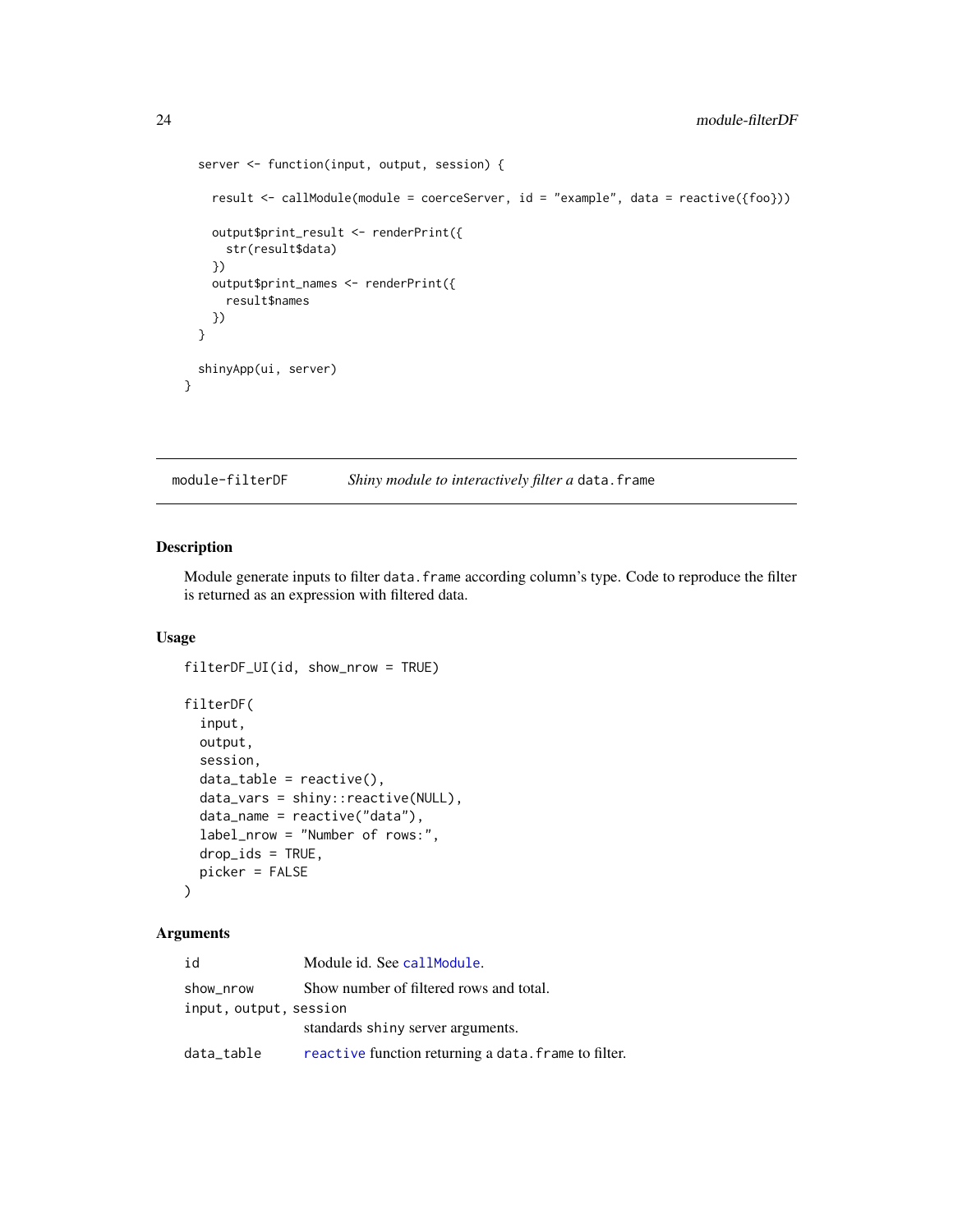```
server <- function(input, output, session) {
   result <- callModule(module = coerceServer, id = "example", data = reactive({foo}))
   output$print_result <- renderPrint({
     str(result$data)
   })
   output$print_names <- renderPrint({
     result$names
   })
 }
 shinyApp(ui, server)
}
```
module-filterDF *Shiny module to interactively filter a* data.frame

#### Description

Module generate inputs to filter data. frame according column's type. Code to reproduce the filter is returned as an expression with filtered data.

#### Usage

```
filterDF_UI(id, show_nrow = TRUE)
filterDF(
  input,
  output,
  session,
  data_table = reactive(),data_vars = shiny::reactive(NULL),
  data_name = reactive("data"),
  label_nrow = "Number of rows:",
  drop\_ids = TRUE,picker = FALSE
)
```
#### Arguments

| id                     | Module id. See callModule.                           |
|------------------------|------------------------------------------------------|
| show_nrow              | Show number of filtered rows and total.              |
| input, output, session |                                                      |
|                        | standards shiny server arguments.                    |
| data_table             | reactive function returning a data. Frame to filter. |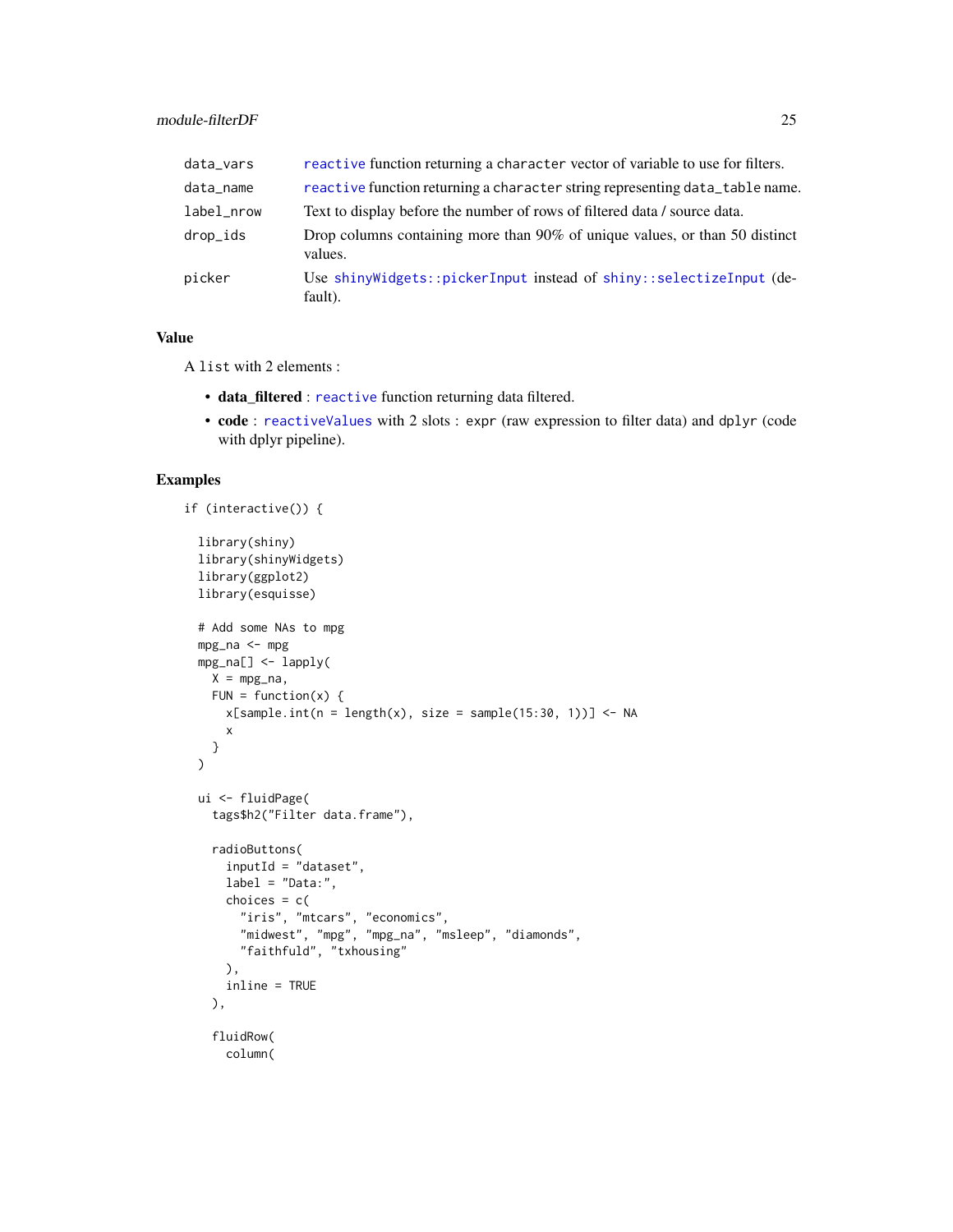<span id="page-24-0"></span>

| data_vars  | reactive function returning a character vector of variable to use for filters.         |
|------------|----------------------------------------------------------------------------------------|
| data_name  | reactive function returning a character string representing data_table name.           |
| label_nrow | Text to display before the number of rows of filtered data / source data.              |
| drop_ids   | Drop columns containing more than 90% of unique values, or than 50 distinct<br>values. |
| picker     | Use shinyWidgets::pickerInput instead of shiny::selectizeInput (de-<br>fault).         |

#### Value

A list with 2 elements :

- data\_filtered : [reactive](#page-0-0) function returning data filtered.
- code : [reactiveValues](#page-0-0) with 2 slots : expr (raw expression to filter data) and dplyr (code with dplyr pipeline).

```
if (interactive()) {
 library(shiny)
 library(shinyWidgets)
 library(ggplot2)
 library(esquisse)
 # Add some NAs to mpg
 mpg_na <- mpg
 mpg_na[] <- lapply(
   X = mpg_na,FUN = function(x) {
     x[sample.int(n = length(x), size = sample(15:30, 1))] <- NA
     x
   }
 )
 ui <- fluidPage(
   tags$h2("Filter data.frame"),
   radioButtons(
     inputId = "dataset",
     label = "Data:".choices = c("iris", "mtcars", "economics",
       "midwest", "mpg", "mpg_na", "msleep", "diamonds",
       "faithfuld", "txhousing"
     ),
     inline = TRUE
   ),
    fluidRow(
     column(
```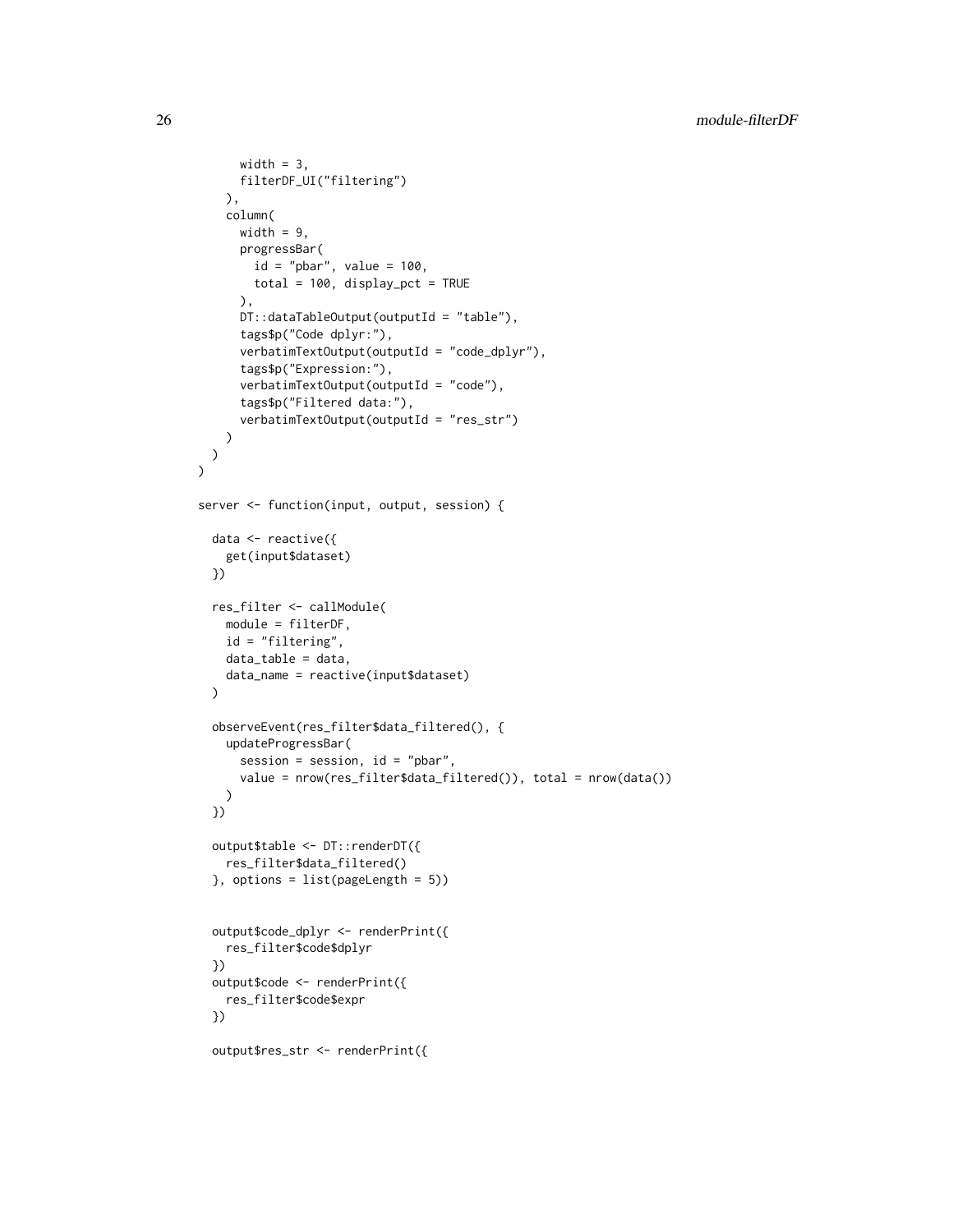```
width = 3,
     filterDF_UI("filtering")
    ),
    column(
     width = 9,
     progressBar(
       id = "pbar", value = 100,total = 100, display_pct = TRUE
     ),
     DT::dataTableOutput(outputId = "table"),
      tags$p("Code dplyr:"),
      verbatimTextOutput(outputId = "code_dplyr"),
      tags$p("Expression:"),
      verbatimTextOutput(outputId = "code"),
     tags$p("Filtered data:"),
      verbatimTextOutput(outputId = "res_str")
    )
 )
\mathcal{L}server <- function(input, output, session) {
  data <- reactive({
    get(input$dataset)
  })
  res_filter <- callModule(
   module = filterDF,
   id = "filtering",
   data_table = data,
    data_name = reactive(input$dataset)
 )
  observeEvent(res_filter$data_filtered(), {
    updateProgressBar(
     session = session, id = "pbar",
      value = nrow(res_filter$data_filtered()), total = nrow(data())
   )
  })
  output$table <- DT::renderDT({
   res_filter$data_filtered()
  }, options = list(pageLength = 5))
  output$code_dplyr <- renderPrint({
   res_filter$code$dplyr
  })
  output$code <- renderPrint({
   res_filter$code$expr
  })
  output$res_str <- renderPrint({
```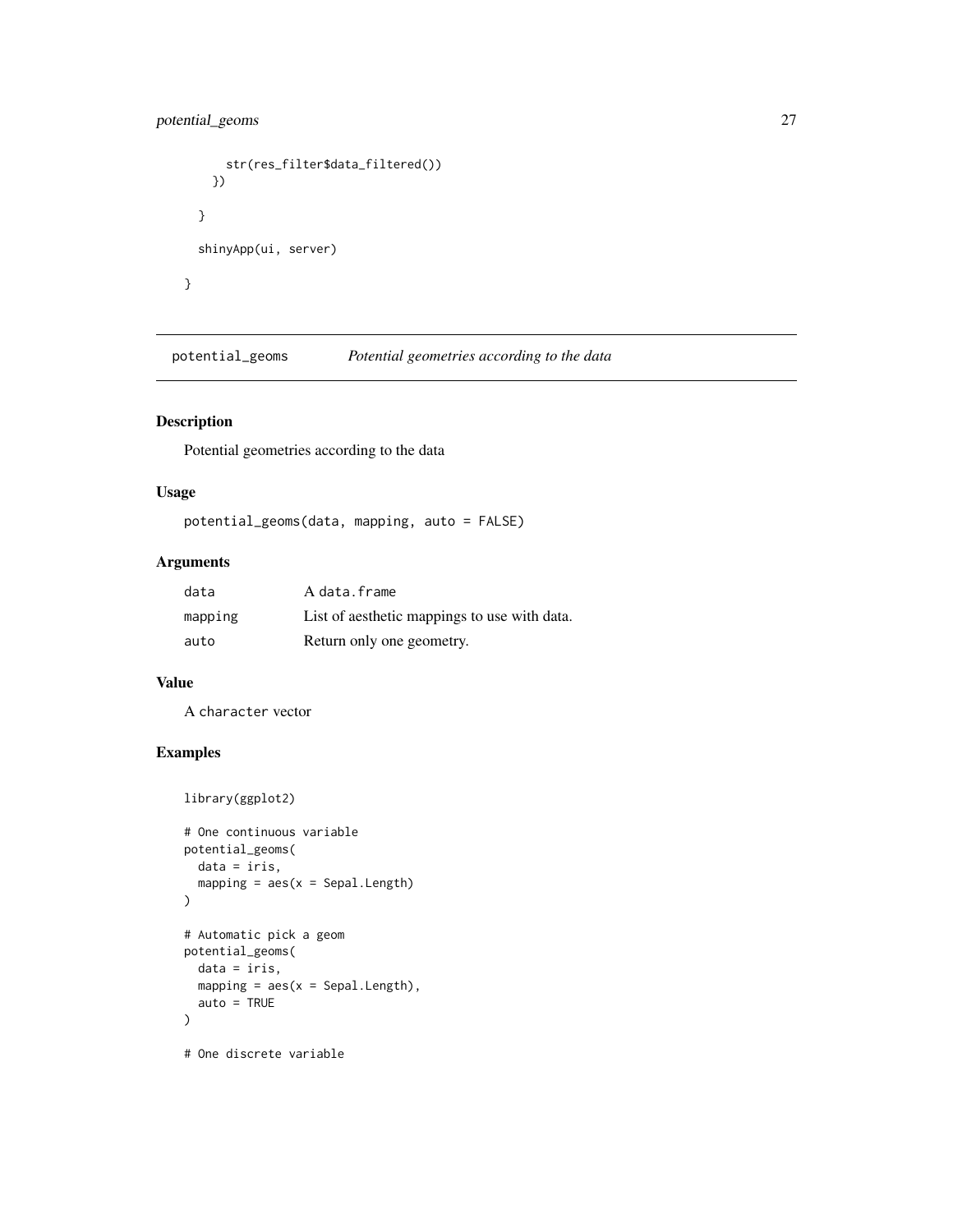#### <span id="page-26-0"></span>potential\_geoms 27

```
str(res_filter$data_filtered())
 })
}
shinyApp(ui, server)
```
potential\_geoms *Potential geometries according to the data*

#### Description

}

Potential geometries according to the data

#### Usage

```
potential_geoms(data, mapping, auto = FALSE)
```
#### Arguments

| data    | A data.frame                                 |
|---------|----------------------------------------------|
| mapping | List of aesthetic mappings to use with data. |
| auto    | Return only one geometry.                    |

#### Value

A character vector

```
library(ggplot2)
```

```
# One continuous variable
potential_geoms(
  data = iris,
  mapping = aes(x = Sepal.length)\mathcal{L}# Automatic pick a geom
potential_geoms(
  data = iris,
  mapping = aes(x = Sepal.length),
  auto = TRUE
)
# One discrete variable
```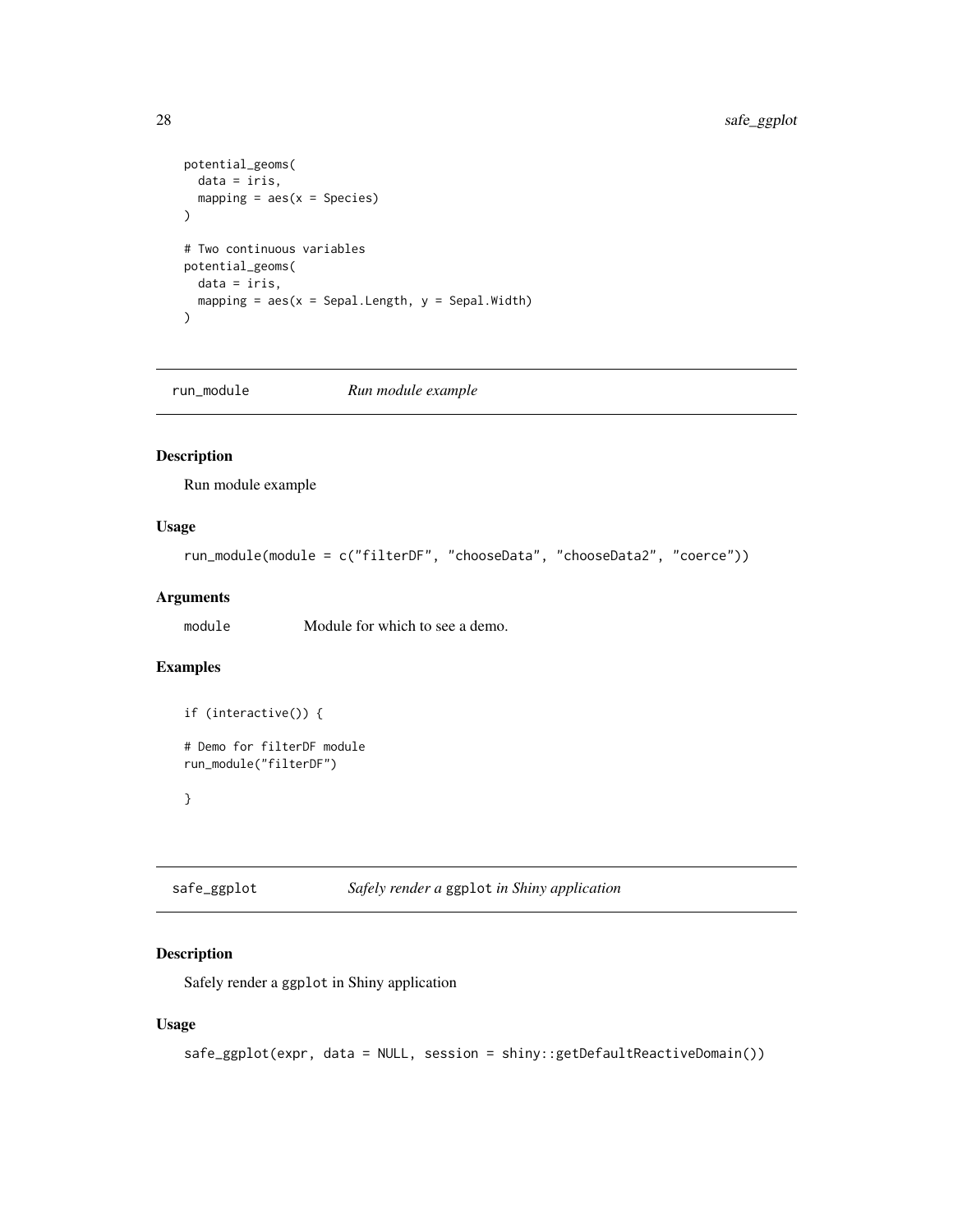```
potential_geoms(
  data = iris,
  mapping = \text{aes}(x = \text{Species})\lambda# Two continuous variables
potential_geoms(
  data = iris,
  mapping = aes(x = Sepal.length, y = Sepal.Width)\mathcal{L}
```
run\_module *Run module example*

#### Description

Run module example

#### Usage

```
run_module(module = c("filterDF", "chooseData", "chooseData2", "coerce"))
```
#### Arguments

module Module for which to see a demo.

#### Examples

```
if (interactive()) {
# Demo for filterDF module
run_module("filterDF")
```
#### }

safe\_ggplot *Safely render a* ggplot *in Shiny application*

#### Description

Safely render a ggplot in Shiny application

#### Usage

```
safe_ggplot(expr, data = NULL, session = shiny::getDefaultReactiveDomain())
```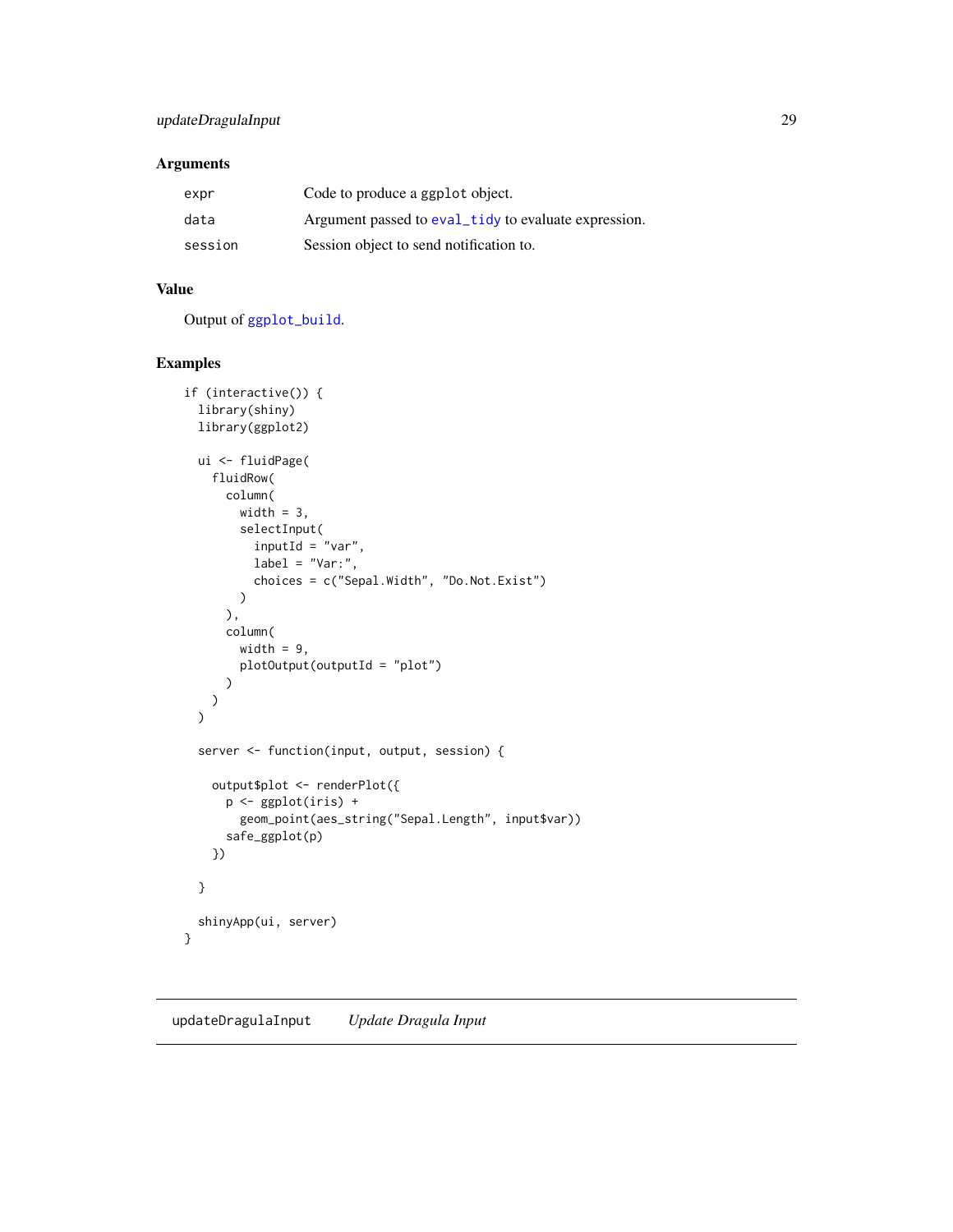#### <span id="page-28-0"></span>Arguments

| expr    | Code to produce a ggplot object.                     |
|---------|------------------------------------------------------|
| data    | Argument passed to eval_tidy to evaluate expression. |
| session | Session object to send notification to.              |

#### Value

Output of [ggplot\\_build](#page-0-0).

#### Examples

```
if (interactive()) {
 library(shiny)
 library(ggplot2)
 ui <- fluidPage(
   fluidRow(
     column(
       width = 3,
        selectInput(
         inputId = "var",
         label = "Var:",
          choices = c("Sepal.Width", "Do.Not.Exist")
        )
      ),
      column(
        width = 9,
        plotOutput(outputId = "plot")
      )
   )
 \mathcal{L}server <- function(input, output, session) {
   output$plot <- renderPlot({
      p <- ggplot(iris) +
       geom_point(aes_string("Sepal.Length", input$var))
      safe_ggplot(p)
    })
 }
 shinyApp(ui, server)
}
```
<span id="page-28-1"></span>updateDragulaInput *Update Dragula Input*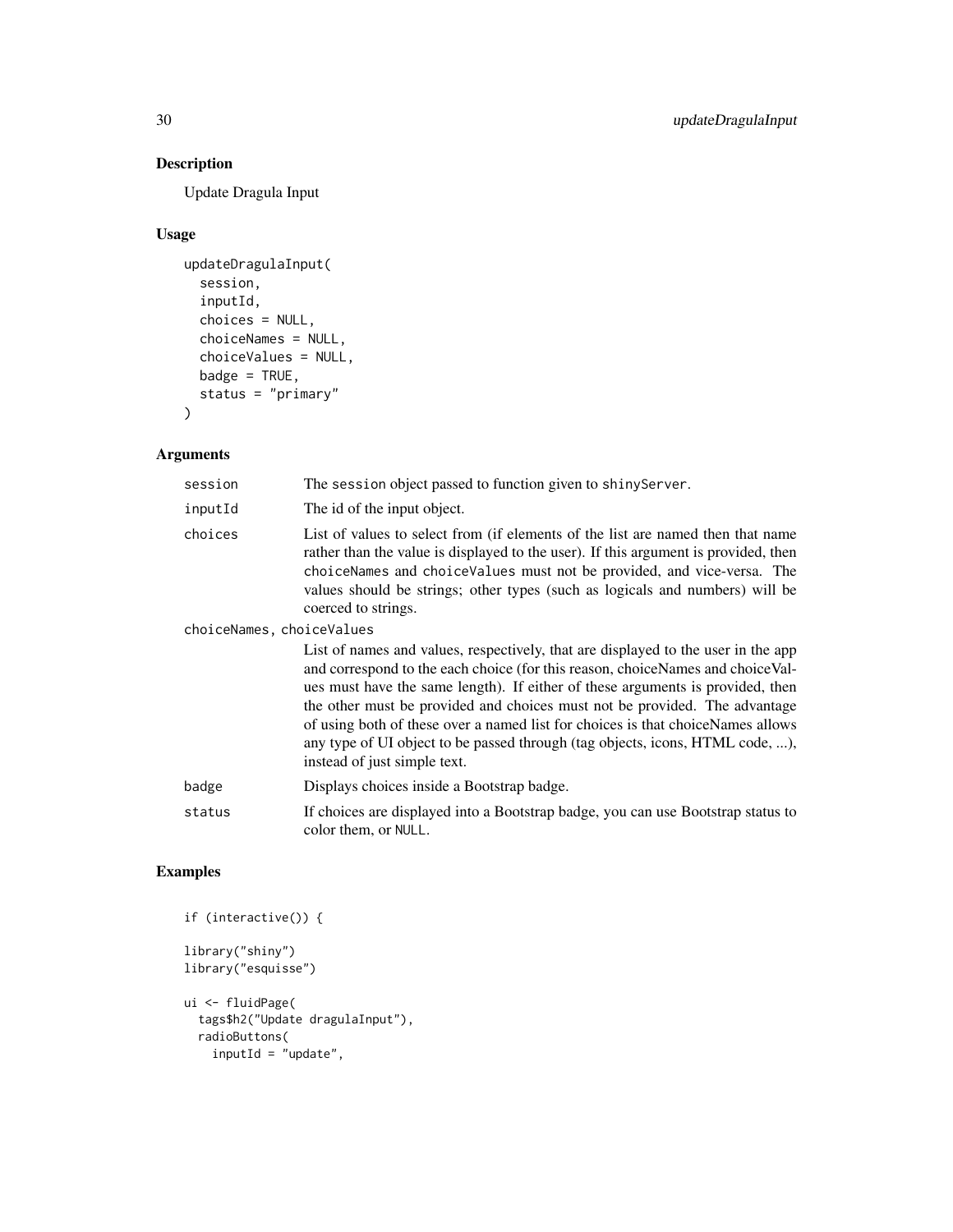#### Description

Update Dragula Input

#### Usage

```
updateDragulaInput(
  session,
  inputId,
  choices = NULL,
  choiceNames = NULL,
  choiceValues = NULL,
  badge = TRUE,
  status = "primary"
\mathcal{L}
```
#### Arguments

| session                   | The session object passed to function given to shiny Server.                                                                                                                                                                                                                                                                                                                                                                                                                                                                             |
|---------------------------|------------------------------------------------------------------------------------------------------------------------------------------------------------------------------------------------------------------------------------------------------------------------------------------------------------------------------------------------------------------------------------------------------------------------------------------------------------------------------------------------------------------------------------------|
| inputId                   | The id of the input object.                                                                                                                                                                                                                                                                                                                                                                                                                                                                                                              |
| choices                   | List of values to select from (if elements of the list are named then that name<br>rather than the value is displayed to the user). If this argument is provided, then<br>choiceNames and choiceValues must not be provided, and vice-versa. The<br>values should be strings; other types (such as logicals and numbers) will be<br>coerced to strings.                                                                                                                                                                                  |
| choiceNames, choiceValues |                                                                                                                                                                                                                                                                                                                                                                                                                                                                                                                                          |
|                           | List of names and values, respectively, that are displayed to the user in the app<br>and correspond to the each choice (for this reason, choiceNames and choiceVal-<br>ues must have the same length). If either of these arguments is provided, then<br>the other must be provided and choices must not be provided. The advantage<br>of using both of these over a named list for choices is that choice Names allows<br>any type of UI object to be passed through (tag objects, icons, HTML code, ),<br>instead of just simple text. |
| badge                     | Displays choices inside a Bootstrap badge.                                                                                                                                                                                                                                                                                                                                                                                                                                                                                               |
| status                    | If choices are displayed into a Bootstrap badge, you can use Bootstrap status to<br>color them, or NULL.                                                                                                                                                                                                                                                                                                                                                                                                                                 |

```
if (interactive()) {
library("shiny")
library("esquisse")
ui <- fluidPage(
```

```
tags$h2("Update dragulaInput"),
radioButtons(
 inputId = "update",
```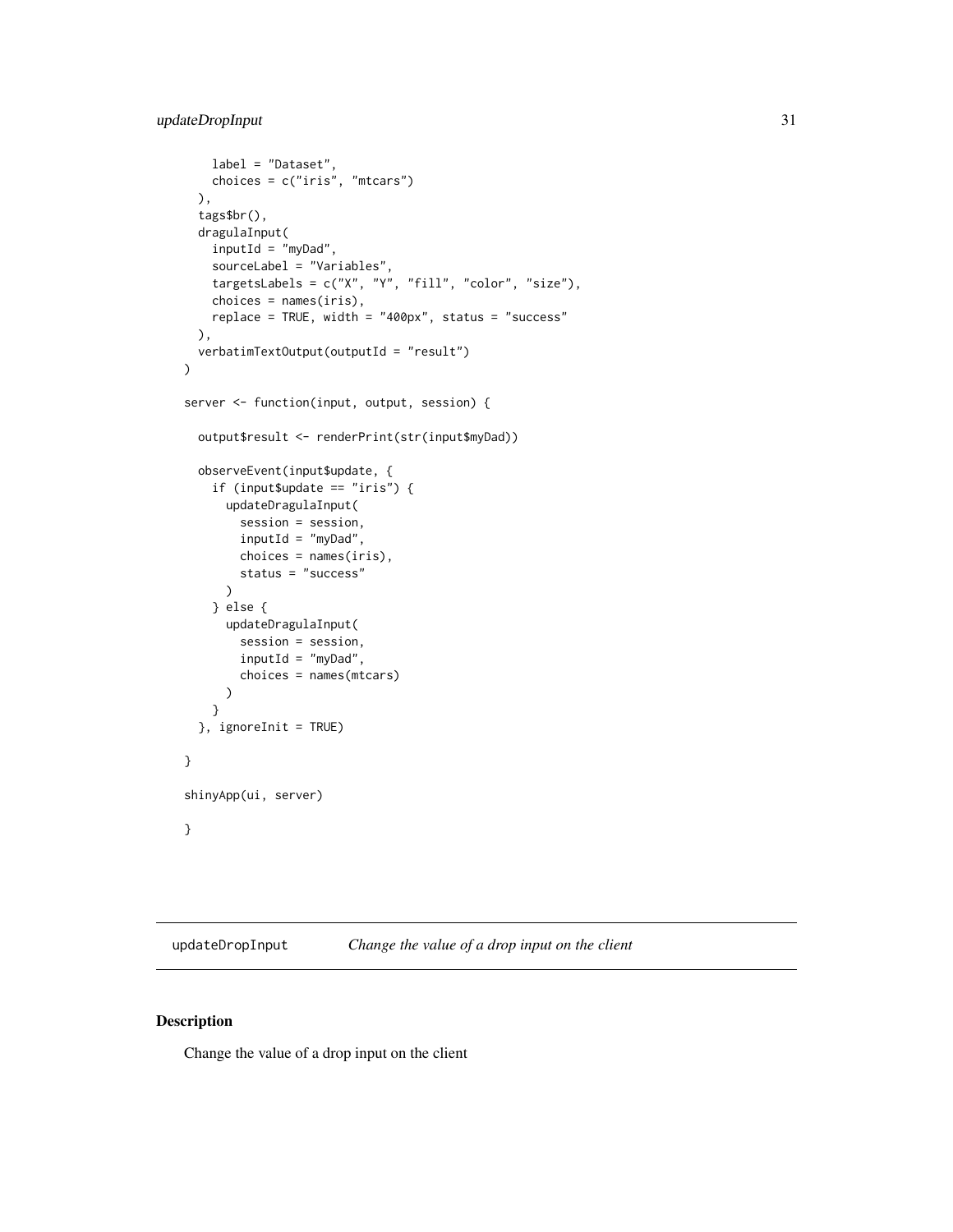```
label = "Dataset",
   choices = c("iris", "mtcars")
 ),
 tags$br(),
 dragulaInput(
   inputId = "myDad",
   sourceLabel = "Variables",
   targetsLabels = c("X", "Y", "fill", "color", "size"),
   choices = names(iris),
   replace = TRUE, width = "400px", status = "success"
 ),
 verbatimTextOutput(outputId = "result")
\mathcal{L}server <- function(input, output, session) {
 output$result <- renderPrint(str(input$myDad))
 observeEvent(input$update, {
   if (input$update == "iris") {
      updateDragulaInput(
       session = session,
       inputId = "myDad",
       choices = names(iris),
       status = "success"
      )
    } else {
     updateDragulaInput(
       session = session,
       inputId = "myDad",
       choices = names(mtcars)
      )
   }
 }, ignoreInit = TRUE)
}
shinyApp(ui, server)
}
```
<span id="page-30-1"></span>updateDropInput *Change the value of a drop input on the client*

#### Description

Change the value of a drop input on the client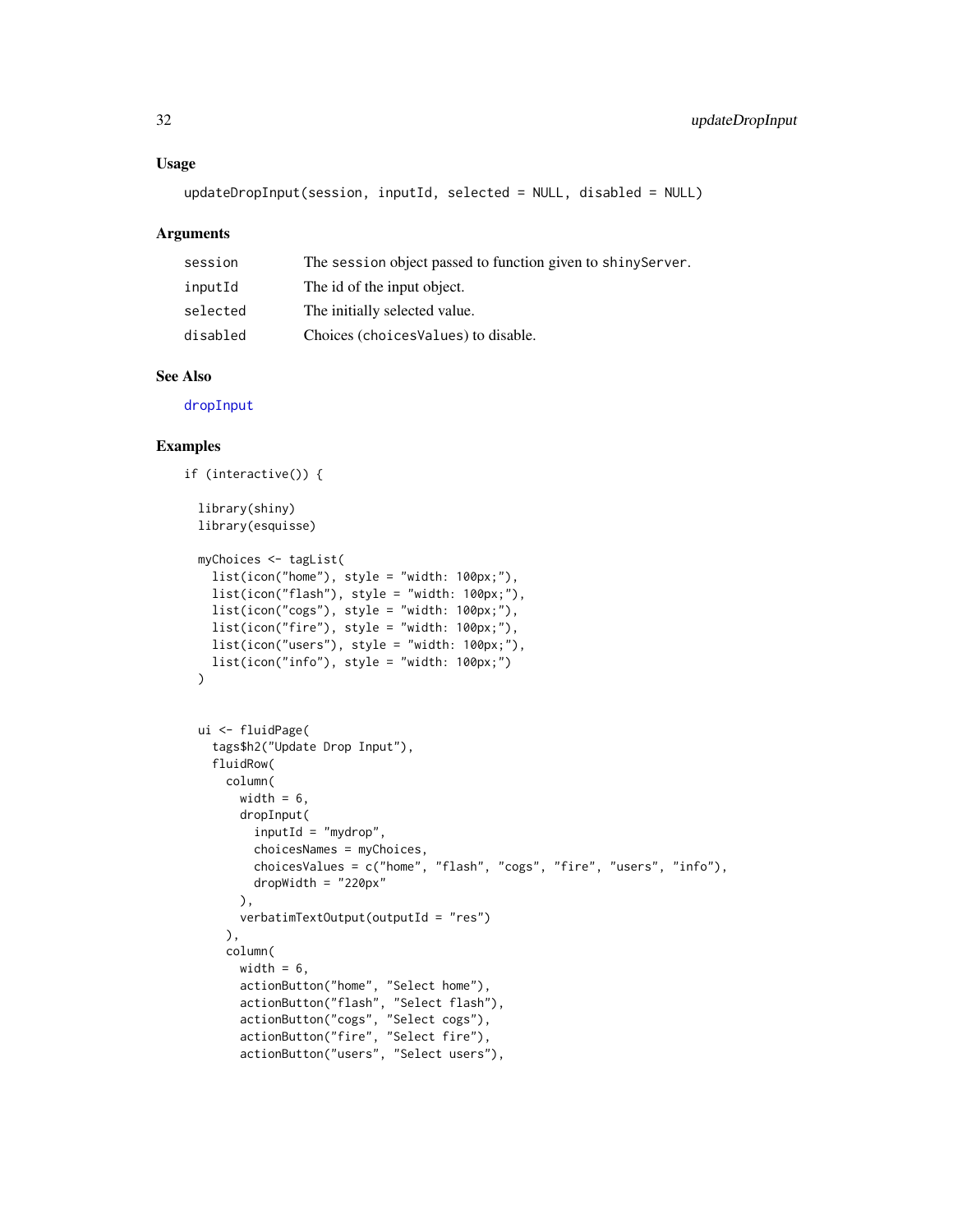#### <span id="page-31-0"></span>Usage

updateDropInput(session, inputId, selected = NULL, disabled = NULL)

#### **Arguments**

| session  | The session object passed to function given to shiny Server. |
|----------|--------------------------------------------------------------|
| inputId  | The id of the input object.                                  |
| selected | The initially selected value.                                |
| disabled | Choices (choices Values) to disable.                         |

#### See Also

[dropInput](#page-4-1)

```
if (interactive()) {
 library(shiny)
 library(esquisse)
 myChoices <- tagList(
   list(icon("home"), style = "width: 100px;"),
   list(icon("flash"), style = "width: 100px;"),
   list(icon("cogs"), style = "width: 100px;"),
   list(icon("fire"), style = "width: 100px;"),
   list(icon("users"), style = "width: 100px;"),list(icon("info"), style = "width: 100px;")
 \lambdaui <- fluidPage(
    tags$h2("Update Drop Input"),
   fluidRow(
     column(
       width = 6,
       dropInput(
         inputId = "mydrop",
         choicesNames = myChoices,
         choicesValues = c("home", "flash", "cogs", "fire", "users", "info"),
         dropWidth = "220px"),
       verbatimTextOutput(outputId = "res")
     ),
     column(
       width = 6,
        actionButton("home", "Select home"),
        actionButton("flash", "Select flash"),
        actionButton("cogs", "Select cogs"),
        actionButton("fire", "Select fire"),
       actionButton("users", "Select users"),
```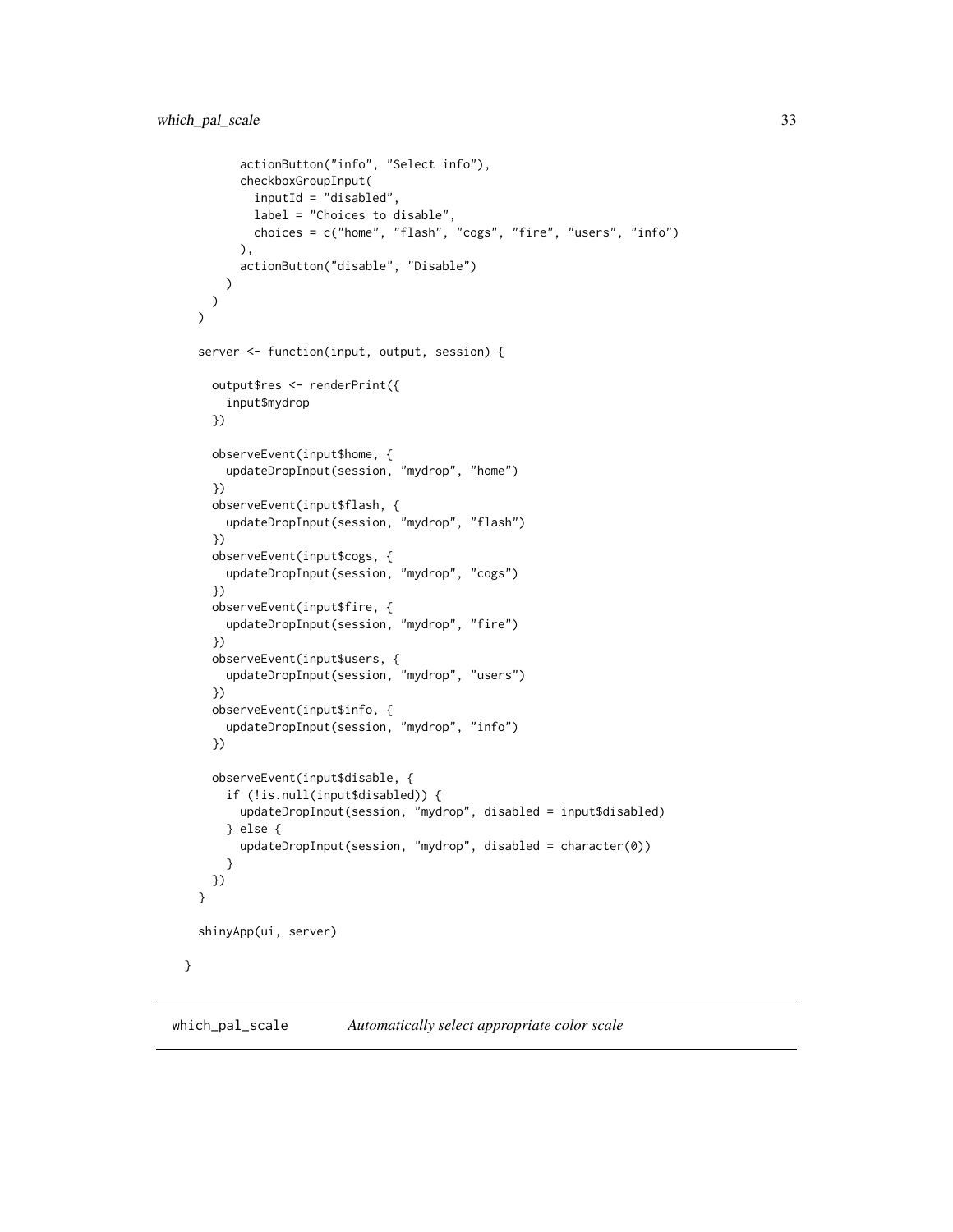```
actionButton("info", "Select info"),
      checkboxGroupInput(
        inputId = "disabled",
        label = "Choices to disable",
        choices = c("home", "flash", "cogs", "fire", "users", "info")
      ),
      actionButton("disable", "Disable")
    )
 )
\lambdaserver <- function(input, output, session) {
  output$res <- renderPrint({
    input$mydrop
  })
  observeEvent(input$home, {
    updateDropInput(session, "mydrop", "home")
  })
  observeEvent(input$flash, {
    updateDropInput(session, "mydrop", "flash")
  })
  observeEvent(input$cogs, {
    updateDropInput(session, "mydrop", "cogs")
  })
  observeEvent(input$fire, {
    updateDropInput(session, "mydrop", "fire")
  })
  observeEvent(input$users, {
    updateDropInput(session, "mydrop", "users")
  })
  observeEvent(input$info, {
    updateDropInput(session, "mydrop", "info")
  })
  observeEvent(input$disable, {
    if (!is.null(input$disabled)) {
      updateDropInput(session, "mydrop", disabled = input$disabled)
    } else {
      updateDropInput(session, "mydrop", disabled = character(0))
    }
 })
}
shinyApp(ui, server)
```
}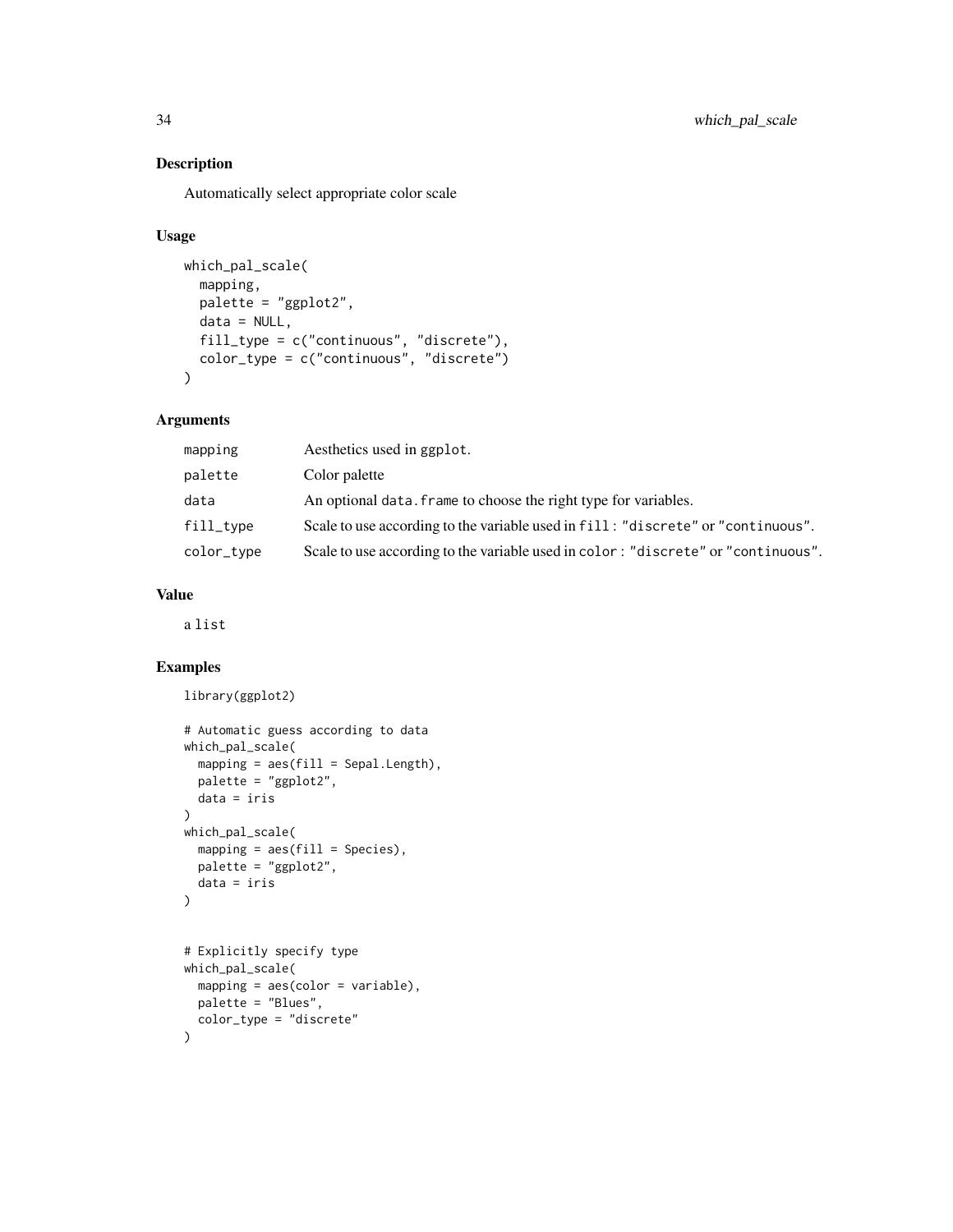#### Description

Automatically select appropriate color scale

#### Usage

```
which_pal_scale(
 mapping,
 palette = "ggplot2",
 data = NULL,fill_type = c("continuous", "discrete"),
 color_type = c("continuous", "discrete")
)
```
#### Arguments

| mapping    | Aesthetics used in ggplot.                                                        |
|------------|-----------------------------------------------------------------------------------|
| palette    | Color palette                                                                     |
| data       | An optional data. Frame to choose the right type for variables.                   |
| fill_type  | Scale to use according to the variable used in fill: "discrete" or "continuous".  |
| color_type | Scale to use according to the variable used in color: "discrete" or "continuous". |

#### Value

a list

library(ggplot2)

```
# Automatic guess according to data
which_pal_scale(
  mapping = aes(fill = Sepal.length),palette = "ggplot2",
  data = iris
)
which_pal_scale(
  mapping = aes(fill = Species),
  palette = "ggplot2",
  data = iris
\mathcal{L}# Explicitly specify type
which_pal_scale(
  mapping = aes(color = variable),
  palette = "Blues",
  color_type = "discrete"
\overline{\phantom{a}}
```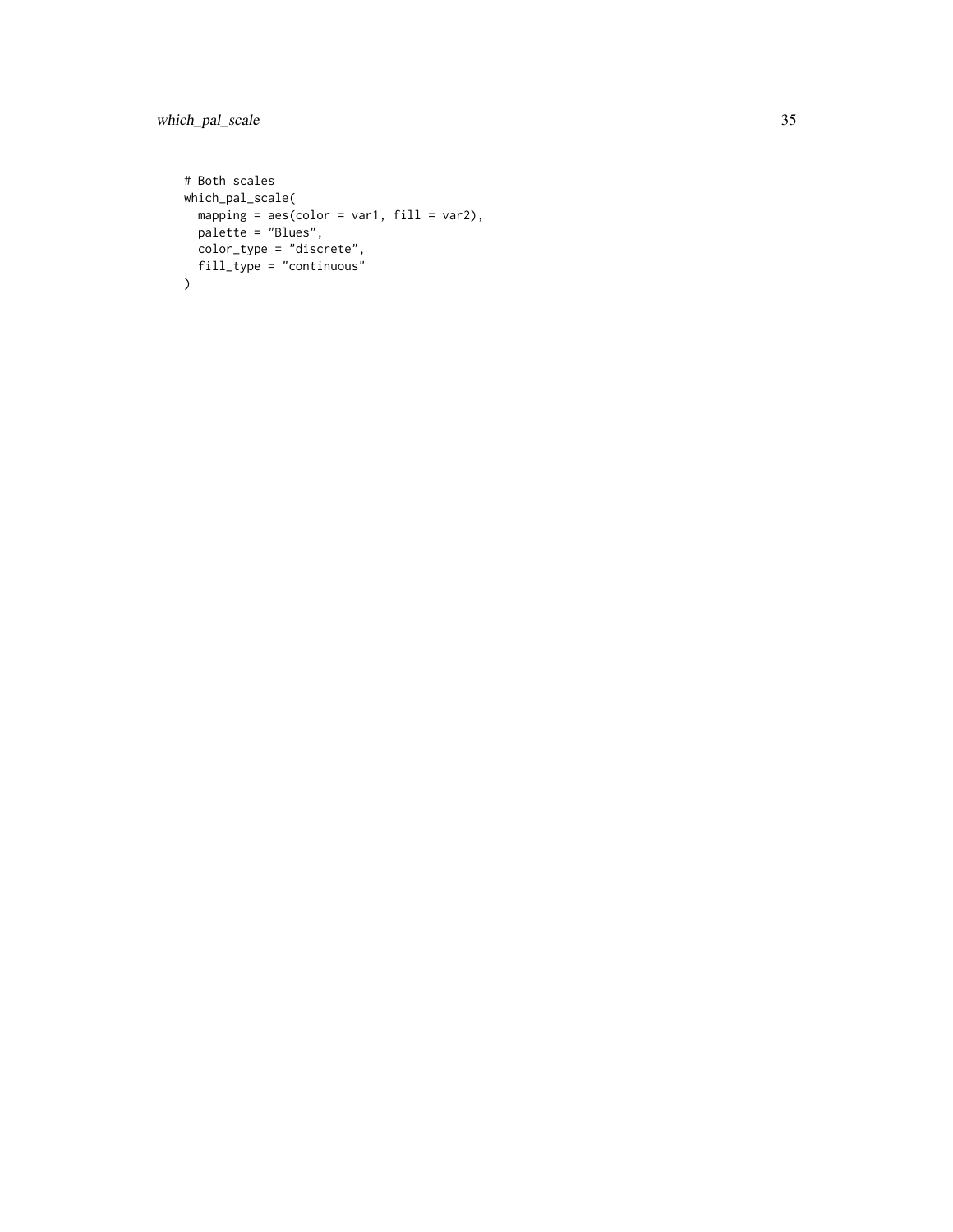which\_pal\_scale 35

```
# Both scales
which_pal_scale(
mapping = \arccos (color = var1, fill = var2),
 palette = "Blues",
 color_type = "discrete",
 fill_type = "continuous"
\lambda
```